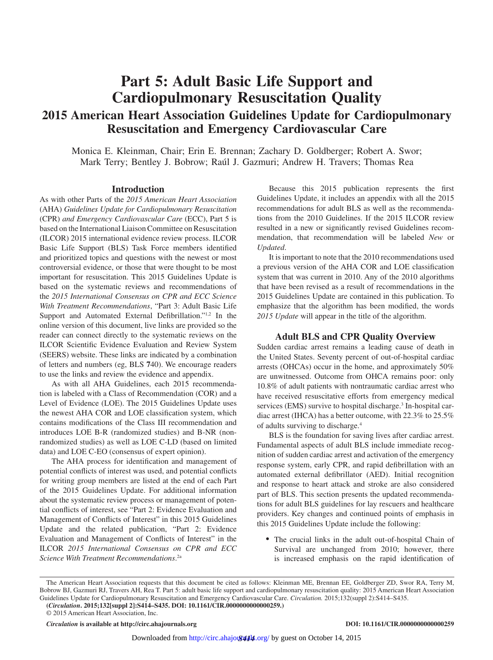# **Part 5: Adult Basic Life Support and Cardiopulmonary Resuscitation Quality 2015 American Heart Association Guidelines Update for Cardiopulmonary Resuscitation and Emergency Cardiovascular Care**

Monica E. Kleinman, Chair; Erin E. Brennan; Zachary D. Goldberger; Robert A. Swor; Mark Terry; Bentley J. Bobrow; Raúl J. Gazmuri; Andrew H. Travers; Thomas Rea

## **Introduction**

As with other Parts of the *2015 American Heart Association*  (AHA) *Guidelines Update for Cardiopulmonary Resuscitation* (CPR) *and Emergency Cardiovascular Care* (ECC), Part 5 is based on the International Liaison Committee on Resuscitation (ILCOR) 2015 international evidence review process. ILCOR Basic Life Support (BLS) Task Force members identified and prioritized topics and questions with the newest or most controversial evidence, or those that were thought to be most important for resuscitation. This 2015 Guidelines Update is based on the systematic reviews and recommendations of the *2015 International Consensus on CPR and ECC Science With Treatment Recommendations*, "Part 3: Adult Basic Life Support and Automated External Defibrillation."1,2 In the online version of this document, live links are provided so the reader can connect directly to the systematic reviews on the ILCOR Scientific Evidence Evaluation and Review System (SEERS) website. These links are indicated by a combination of letters and numbers (eg, BLS **7**40). We encourage readers to use the links and review the evidence and appendix.

As with all AHA Guidelines, each 2015 recommendation is labeled with a Class of Recommendation (COR) and a Level of Evidence (LOE). The 2015 Guidelines Update uses the newest AHA COR and LOE classification system, which contains modifications of the Class III recommendation and introduces LOE B-R (randomized studies) and B-NR (nonrandomized studies) as well as LOE C-LD (based on limited data) and LOE C-EO (consensus of expert opinion).

The AHA process for identification and management of potential conflicts of interest was used, and potential conflicts for writing group members are listed at the end of each Part of the 2015 Guidelines Update. For additional information about the systematic review process or management of potential conflicts of interest, see "Part 2: Evidence Evaluation and Management of Conflicts of Interest" in this 2015 Guidelines Update and the related publication, "Part 2: Evidence Evaluation and Management of Conflicts of Interest" in the ILCOR *2015 International Consensus on CPR and ECC Science With Treatment Recommendations*. 2a

Because this 2015 publication represents the first Guidelines Update, it includes an appendix with all the 2015 recommendations for adult BLS as well as the recommendations from the 2010 Guidelines. If the 2015 ILCOR review resulted in a new or significantly revised Guidelines recommendation, that recommendation will be labeled *New* or *Updated*.

It is important to note that the 2010 recommendations used a previous version of the AHA COR and LOE classification system that was current in 2010. Any of the 2010 algorithms that have been revised as a result of recommendations in the 2015 Guidelines Update are contained in this publication. To emphasize that the algorithm has been modified, the words *2015 Update* will appear in the title of the algorithm.

## **Adult BLS and CPR Quality Overview**

Sudden cardiac arrest remains a leading cause of death in the United States. Seventy percent of out-of-hospital cardiac arrests (OHCAs) occur in the home, and approximately 50% are unwitnessed. Outcome from OHCA remains poor: only 10.8% of adult patients with nontraumatic cardiac arrest who have received resuscitative efforts from emergency medical services (EMS) survive to hospital discharge.<sup>3</sup> In-hospital cardiac arrest (IHCA) has a better outcome, with 22.3% to 25.5% of adults surviving to discharge.4

BLS is the foundation for saving lives after cardiac arrest. Fundamental aspects of adult BLS include immediate recognition of sudden cardiac arrest and activation of the emergency response system, early CPR, and rapid defibrillation with an automated external defibrillator (AED). Initial recognition and response to heart attack and stroke are also considered part of BLS. This section presents the updated recommendations for adult BLS guidelines for lay rescuers and healthcare providers. Key changes and continued points of emphasis in this 2015 Guidelines Update include the following:

• The crucial links in the adult out-of-hospital Chain of Survival are unchanged from 2010; however, there is increased emphasis on the rapid identification of

© 2015 American Heart Association, Inc.

*Circulation* **is available at http://circ.ahajournals.org DOI: 10.1161/CIR.0000000000000259**

The American Heart Association requests that this document be cited as follows: Kleinman ME, Brennan EE, Goldberger ZD, Swor RA, Terry M, Bobrow BJ, Gazmuri RJ, Travers AH, Rea T. Part 5: adult basic life support and cardiopulmonary resuscitation quality: 2015 American Heart Association Guidelines Update for Cardiopulmonary Resuscitation and Emergency Cardiovascular Care. *Circulation.* 2015;132(suppl 2):S414–S435.

**<sup>(</sup>***Circulation***. 2015;132[suppl 2]:S414–S435. DOI: 10.1161/CIR.0000000000000259.)**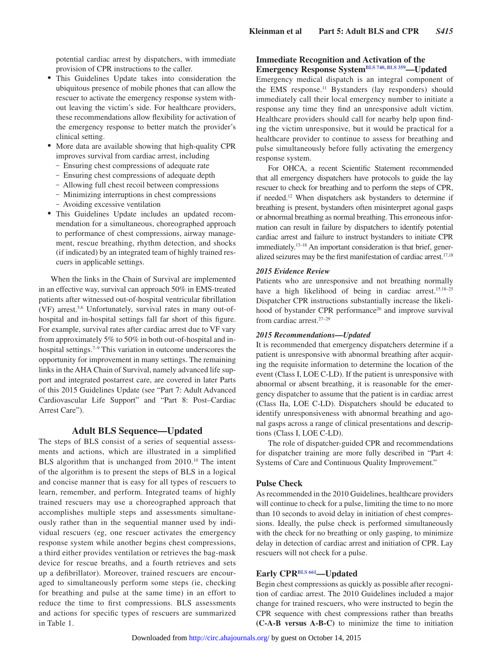potential cardiac arrest by dispatchers, with immediate provision of CPR instructions to the caller.

- This Guidelines Update takes into consideration the ubiquitous presence of mobile phones that can allow the rescuer to activate the emergency response system without leaving the victim's side. For healthcare providers, these recommendations allow flexibility for activation of the emergency response to better match the provider's clinical setting.
- More data are available showing that high-quality CPR improves survival from cardiac arrest, including
	- Ensuring chest compressions of adequate rate
	- Ensuring chest compressions of adequate depth
	- Allowing full chest recoil between compressions
	- Minimizing interruptions in chest compressions
	- Avoiding excessive ventilation
- • This Guidelines Update includes an updated recommendation for a simultaneous, choreographed approach to performance of chest compressions, airway management, rescue breathing, rhythm detection, and shocks (if indicated) by an integrated team of highly trained rescuers in applicable settings.

When the links in the Chain of Survival are implemented in an effective way, survival can approach 50% in EMS-treated patients after witnessed out-of-hospital ventricular fibrillation (VF) arrest.5,6 Unfortunately, survival rates in many out-ofhospital and in-hospital settings fall far short of this figure. For example, survival rates after cardiac arrest due to VF vary from approximately 5% to 50% in both out-of-hospital and inhospital settings.<sup>7–9</sup> This variation in outcome underscores the opportunity for improvement in many settings. The remaining links in the AHA Chain of Survival, namely advanced life support and integrated postarrest care, are covered in later Parts of this 2015 Guidelines Update (see "Part 7: Adult Advanced Cardiovascular Life Support" and "Part 8: Post–Cardiac Arrest Care").

## **Adult BLS Sequence—Updated**

The steps of BLS consist of a series of sequential assessments and actions, which are illustrated in a simplified BLS algorithm that is unchanged from 2010.<sup>10</sup> The intent of the algorithm is to present the steps of BLS in a logical and concise manner that is easy for all types of rescuers to learn, remember, and perform. Integrated teams of highly trained rescuers may use a choreographed approach that accomplishes multiple steps and assessments simultaneously rather than in the sequential manner used by individual rescuers (eg, one rescuer activates the emergency response system while another begins chest compressions, a third either provides ventilation or retrieves the bag-mask device for rescue breaths, and a fourth retrieves and sets up a defibrillator). Moreover, trained rescuers are encouraged to simultaneously perform some steps (ie, checking for breathing and pulse at the same time) in an effort to reduce the time to first compressions. BLS assessments and actions for specific types of rescuers are summarized in Table 1.

## **Immediate Recognition and Activation of the Emergency Response System[BLS 740](https://volunteer.heart.org/apps/pico/Pages/PublicComment.aspx?q=740), [BLS 359—](https://volunteer.heart.org/apps/pico/Pages/PublicComment.aspx?q=359)Updated**

Emergency medical dispatch is an integral component of the EMS response.<sup>11</sup> Bystanders (lay responders) should immediately call their local emergency number to initiate a response any time they find an unresponsive adult victim. Healthcare providers should call for nearby help upon finding the victim unresponsive, but it would be practical for a healthcare provider to continue to assess for breathing and pulse simultaneously before fully activating the emergency response system.

For OHCA, a recent Scientific Statement recommended that all emergency dispatchers have protocols to guide the lay rescuer to check for breathing and to perform the steps of CPR, if needed.12 When dispatchers ask bystanders to determine if breathing is present, bystanders often misinterpret agonal gasps or abnormal breathing as normal breathing. This erroneous information can result in failure by dispatchers to identify potential cardiac arrest and failure to instruct bystanders to initiate CPR immediately.<sup>13-18</sup> An important consideration is that brief, generalized seizures may be the first manifestation of cardiac arrest.17,18

#### *2015 Evidence Review*

Patients who are unresponsive and not breathing normally have a high likelihood of being in cardiac arrest.<sup>15,18-25</sup> Dispatcher CPR instructions substantially increase the likelihood of bystander CPR performance<sup>26</sup> and improve survival from cardiac arrest.<sup>27-29</sup>

## *2015 Recommendations—Updated*

It is recommended that emergency dispatchers determine if a patient is unresponsive with abnormal breathing after acquiring the requisite information to determine the location of the event (Class I, LOE C-LD). If the patient is unresponsive with abnormal or absent breathing, it is reasonable for the emergency dispatcher to assume that the patient is in cardiac arrest (Class IIa, LOE C-LD). Dispatchers should be educated to identify unresponsiveness with abnormal breathing and agonal gasps across a range of clinical presentations and descriptions (Class I, LOE C-LD).

The role of dispatcher-guided CPR and recommendations for dispatcher training are more fully described in "Part 4: Systems of Care and Continuous Quality Improvement."

## **Pulse Check**

As recommended in the 2010 Guidelines, healthcare providers will continue to check for a pulse, limiting the time to no more than 10 seconds to avoid delay in initiation of chest compressions. Ideally, the pulse check is performed simultaneously with the check for no breathing or only gasping, to minimize delay in detection of cardiac arrest and initiation of CPR. Lay rescuers will not check for a pulse.

## **Early CP[RBLS 661—](https://volunteer.heart.org/apps/pico/Pages/PublicComment.aspx?q=661)Updated**

Begin chest compressions as quickly as possible after recognition of cardiac arrest. The 2010 Guidelines included a major change for trained rescuers, who were instructed to begin the CPR sequence with chest compressions rather than breaths **(C-A-B versus A-B-C)** to minimize the time to initiation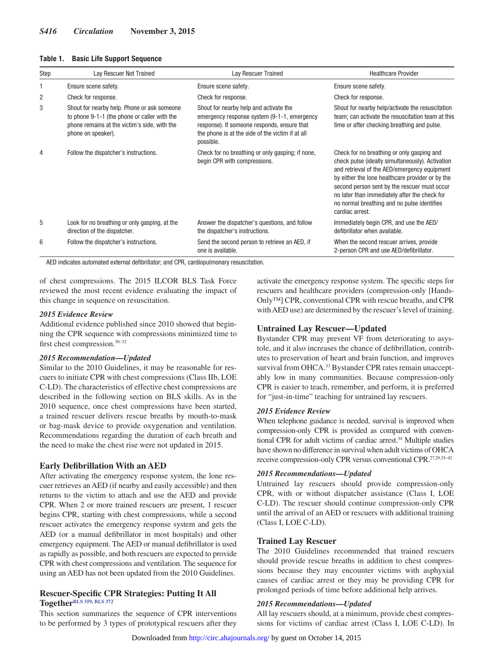| <b>Basic Life Support Sequence</b><br>Table 1. |  |
|------------------------------------------------|--|
|------------------------------------------------|--|

| Step | Lay Rescuer Not Trained                                                                                                                                           | Lay Rescuer Trained                                                                                                                                                                                   | <b>Healthcare Provider</b>                                                                                                                                                                                                                                                                                                                                            |
|------|-------------------------------------------------------------------------------------------------------------------------------------------------------------------|-------------------------------------------------------------------------------------------------------------------------------------------------------------------------------------------------------|-----------------------------------------------------------------------------------------------------------------------------------------------------------------------------------------------------------------------------------------------------------------------------------------------------------------------------------------------------------------------|
|      | Ensure scene safety.                                                                                                                                              | Ensure scene safety.                                                                                                                                                                                  | Ensure scene safety.                                                                                                                                                                                                                                                                                                                                                  |
| 2    | Check for response.                                                                                                                                               | Check for response.                                                                                                                                                                                   | Check for response.                                                                                                                                                                                                                                                                                                                                                   |
| 3    | Shout for nearby help. Phone or ask someone<br>to phone 9-1-1 (the phone or caller with the<br>phone remains at the victim's side, with the<br>phone on speaker). | Shout for nearby help and activate the<br>emergency response system (9-1-1, emergency<br>response). If someone responds, ensure that<br>the phone is at the side of the victim if at all<br>possible. | Shout for nearby help/activate the resuscitation<br>team; can activate the resuscitation team at this<br>time or after checking breathing and pulse.                                                                                                                                                                                                                  |
| 4    | Follow the dispatcher's instructions.                                                                                                                             | Check for no breathing or only gasping; if none,<br>begin CPR with compressions.                                                                                                                      | Check for no breathing or only gasping and<br>check pulse (ideally simultaneously). Activation<br>and retrieval of the AED/emergency equipment<br>by either the lone healthcare provider or by the<br>second person sent by the rescuer must occur<br>no later than immediately after the check for<br>no normal breathing and no pulse identifies<br>cardiac arrest. |
| 5    | Look for no breathing or only gasping, at the<br>direction of the dispatcher.                                                                                     | Answer the dispatcher's questions, and follow<br>the dispatcher's instructions.                                                                                                                       | Immediately begin CPR, and use the AED/<br>defibrillator when available.                                                                                                                                                                                                                                                                                              |
| 6    | Follow the dispatcher's instructions.                                                                                                                             | Send the second person to retrieve an AED, if<br>one is available.                                                                                                                                    | When the second rescuer arrives, provide<br>2-person CPR and use AED/defibrillator.                                                                                                                                                                                                                                                                                   |

AED indicates automated external defibrillator; and CPR, cardiopulmonary resuscitation.

of chest compressions. The 2015 ILCOR BLS Task Force reviewed the most recent evidence evaluating the impact of this change in sequence on resuscitation.

#### *2015 Evidence Review*

Additional evidence published since 2010 showed that beginning the CPR sequence with compressions minimized time to first chest compression.30–32

#### *2015 Recommendation—Updated*

Similar to the 2010 Guidelines, it may be reasonable for rescuers to initiate CPR with chest compressions (Class IIb, LOE C-LD). The characteristics of effective chest compressions are described in the following section on BLS skills. As in the 2010 sequence, once chest compressions have been started, a trained rescuer delivers rescue breaths by mouth-to-mask or bag-mask device to provide oxygenation and ventilation. Recommendations regarding the duration of each breath and the need to make the chest rise were not updated in 2015.

## **Early Defibrillation With an AED**

After activating the emergency response system, the lone rescuer retrieves an AED (if nearby and easily accessible) and then returns to the victim to attach and use the AED and provide CPR. When 2 or more trained rescuers are present, 1 rescuer begins CPR, starting with chest compressions, while a second rescuer activates the emergency response system and gets the AED (or a manual defibrillator in most hospitals) and other emergency equipment. The AED or manual defibrillator is used as rapidly as possible, and both rescuers are expected to provide CPR with chest compressions and ventilation. The sequence for using an AED has not been updated from the 2010 Guidelines.

## **Rescuer-Specific CPR Strategies: Putting It All Together[BLS 359](https://volunteer.heart.org/apps/pico/Pages/PublicComment.aspx?q=359), [BLS 372](https://volunteer.heart.org/apps/pico/Pages/PublicComment.aspx?q=372)**

This section summarizes the sequence of CPR interventions to be performed by 3 types of prototypical rescuers after they

activate the emergency response system. The specific steps for rescuers and healthcare providers (compression-only [Hands-Only™] CPR, conventional CPR with rescue breaths, and CPR with AED use) are determined by the rescuer's level of training.

## **Untrained Lay Rescuer—Updated**

Bystander CPR may prevent VF from deteriorating to asystole, and it also increases the chance of defibrillation, contributes to preservation of heart and brain function, and improves survival from OHCA.<sup>33</sup> Bystander CPR rates remain unacceptably low in many communities. Because compression-only CPR is easier to teach, remember, and perform, it is preferred for "just-in-time" teaching for untrained lay rescuers.

#### *2015 Evidence Review*

When telephone guidance is needed, survival is improved when compression-only CPR is provided as compared with conventional CPR for adult victims of cardiac arrest.34 Multiple studies have shown no difference in survival when adult victims of OHCA receive compression-only CPR versus conventional CPR.27,29,35–42

#### *2015 Recommendations—Updated*

Untrained lay rescuers should provide compression-only CPR, with or without dispatcher assistance (Class I, LOE C-LD). The rescuer should continue compression-only CPR until the arrival of an AED or rescuers with additional training (Class I, LOE C-LD).

## **Trained Lay Rescuer**

The 2010 Guidelines recommended that trained rescuers should provide rescue breaths in addition to chest compressions because they may encounter victims with asphyxial causes of cardiac arrest or they may be providing CPR for prolonged periods of time before additional help arrives.

#### *2015 Recommendations—Updated*

All lay rescuers should, at a minimum, provide chest compressions for victims of cardiac arrest (Class I, LOE C-LD). In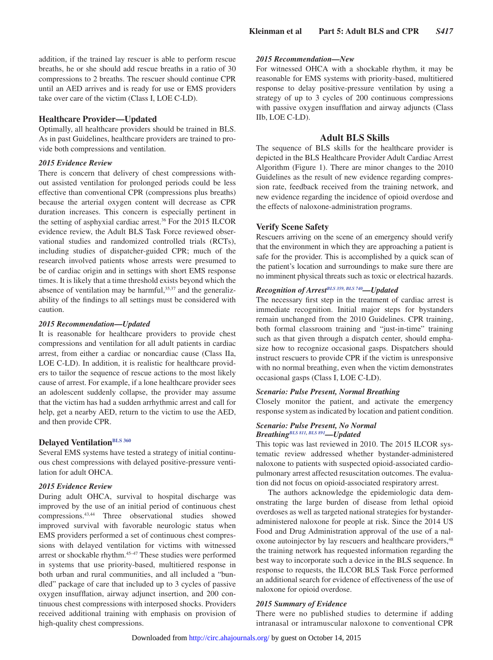addition, if the trained lay rescuer is able to perform rescue breaths, he or she should add rescue breaths in a ratio of 30 compressions to 2 breaths. The rescuer should continue CPR until an AED arrives and is ready for use or EMS providers take over care of the victim (Class I, LOE C-LD).

## **Healthcare Provider—Updated**

Optimally, all healthcare providers should be trained in BLS. As in past Guidelines, healthcare providers are trained to provide both compressions and ventilation.

## *2015 Evidence Review*

There is concern that delivery of chest compressions without assisted ventilation for prolonged periods could be less effective than conventional CPR (compressions plus breaths) because the arterial oxygen content will decrease as CPR duration increases. This concern is especially pertinent in the setting of asphyxial cardiac arrest.36 For the 2015 ILCOR evidence review, the Adult BLS Task Force reviewed observational studies and randomized controlled trials (RCTs), including studies of dispatcher-guided CPR; much of the research involved patients whose arrests were presumed to be of cardiac origin and in settings with short EMS response times. It is likely that a time threshold exists beyond which the absence of ventilation may be harmful, $35,37$  and the generalizability of the findings to all settings must be considered with caution.

#### *2015 Recommendation—Updated*

It is reasonable for healthcare providers to provide chest compressions and ventilation for all adult patients in cardiac arrest, from either a cardiac or noncardiac cause (Class IIa, LOE C-LD). In addition, it is realistic for healthcare providers to tailor the sequence of rescue actions to the most likely cause of arrest. For example, if a lone healthcare provider sees an adolescent suddenly collapse, the provider may assume that the victim has had a sudden arrhythmic arrest and call for help, get a nearby AED, return to the victim to use the AED, and then provide CPR.

## **Delayed Ventilation**BLS 360

Several EMS systems have tested a strategy of initial continuous chest compressions with delayed positive-pressure ventilation for adult OHCA.

## *2015 Evidence Review*

During adult OHCA, survival to hospital discharge was improved by the use of an initial period of continuous chest compressions.43,44 Three observational studies showed improved survival with favorable neurologic status when EMS providers performed a set of continuous chest compressions with delayed ventilation for victims with witnessed arrest or shockable rhythm.<sup>45-47</sup> These studies were performed in systems that use priority-based, multitiered response in both urban and rural communities, and all included a "bundled" package of care that included up to 3 cycles of passive oxygen insufflation, airway adjunct insertion, and 200 continuous chest compressions with interposed shocks. Providers received additional training with emphasis on provision of high-quality chest compressions.

## *2015 Recommendation—New*

For witnessed OHCA with a shockable rhythm, it may be reasonable for EMS systems with priority-based, multitiered response to delay positive-pressure ventilation by using a strategy of up to 3 cycles of 200 continuous compressions with passive oxygen insufflation and airway adjuncts (Class IIb, LOE C-LD).

#### **Adult BLS Skills**

The sequence of BLS skills for the healthcare provider is depicted in the BLS Healthcare Provider Adult Cardiac Arrest Algorithm (Figure 1). There are minor changes to the 2010 Guidelines as the result of new evidence regarding compression rate, feedback received from the training network, and new evidence regarding the incidence of opioid overdose and the effects of naloxone-administration programs.

## **Verify Scene Safety**

Rescuers arriving on the scene of an emergency should verify that the environment in which they are approaching a patient is safe for the provider. This is accomplished by a quick scan of the patient's location and surroundings to make sure there are no imminent physical threats such as toxic or electrical hazards.

## *Recognition of Arres[tBLS 359,](https://volunteer.heart.org/apps/pico/Pages/PublicComment.aspx?q=359) [BLS 740—](https://volunteer.heart.org/apps/pico/Pages/PublicComment.aspx?q=740)Updated*

The necessary first step in the treatment of cardiac arrest is immediate recognition. Initial major steps for bystanders remain unchanged from the 2010 Guidelines. CPR training, both formal classroom training and "just-in-time" training such as that given through a dispatch center, should emphasize how to recognize occasional gasps. Dispatchers should instruct rescuers to provide CPR if the victim is unresponsive with no normal breathing, even when the victim demonstrates occasional gasps (Class I, LOE C-LD).

#### *Scenario: Pulse Present, Normal Breathing*

Closely monitor the patient, and activate the emergency response system as indicated by location and patient condition.

#### *Scenario: Pulse Present, No Normal Breathing[BLS 811](https://volunteer.heart.org/apps/pico/Pages/PublicComment.aspx?q=811), [BLS 891](https://volunteer.heart.org/apps/pico/Pages/PublicComment.aspx?q=891)—Updated*

This topic was last reviewed in 2010. The 2015 ILCOR systematic review addressed whether bystander-administered naloxone to patients with suspected opioid-associated cardiopulmonary arrest affected resuscitation outcomes. The evaluation did not focus on opioid-associated respiratory arrest.

The authors acknowledge the epidemiologic data demonstrating the large burden of disease from lethal opioid overdoses as well as targeted national strategies for bystanderadministered naloxone for people at risk. Since the 2014 US Food and Drug Administration approval of the use of a naloxone autoinjector by lay rescuers and healthcare providers, <sup>48</sup> the training network has requested information regarding the best way to incorporate such a device in the BLS sequence. In response to requests, the ILCOR BLS Task Force performed an additional search for evidence of effectiveness of the use of naloxone for opioid overdose.

#### *2015 Summary of Evidence*

There were no published studies to determine if adding intranasal or intramuscular naloxone to conventional CPR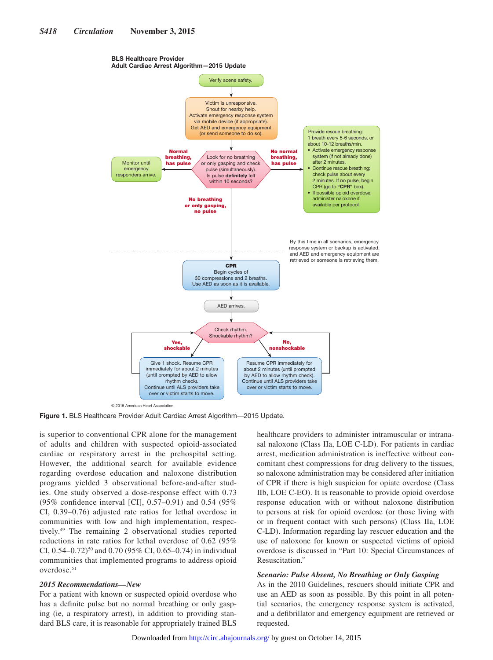#### BLS Healthcare Provider Adult Cardiac Arrest Algorithm—2015 Update



© 2015 American Heart Association

**Figure 1.** BLS Healthcare Provider Adult Cardiac Arrest Algorithm—2015 Update.

is superior to conventional CPR alone for the management of adults and children with suspected opioid-associated cardiac or respiratory arrest in the prehospital setting. However, the additional search for available evidence regarding overdose education and naloxone distribution programs yielded 3 observational before-and-after studies. One study observed a dose-response effect with 0.73 (95% confidence interval [CI], 0.57–0.91) and 0.54 (95% CI, 0.39–0.76) adjusted rate ratios for lethal overdose in communities with low and high implementation, respectively.49 The remaining 2 observational studies reported reductions in rate ratios for lethal overdose of 0.62 (95% CI,  $0.54-0.72$ <sup>50</sup> and  $0.70$  (95% CI, 0.65-0.74) in individual communities that implemented programs to address opioid overdose.51

#### *2015 Recommendations—New*

For a patient with known or suspected opioid overdose who has a definite pulse but no normal breathing or only gasping (ie, a respiratory arrest), in addition to providing standard BLS care, it is reasonable for appropriately trained BLS healthcare providers to administer intramuscular or intranasal naloxone (Class IIa, LOE C-LD). For patients in cardiac arrest, medication administration is ineffective without concomitant chest compressions for drug delivery to the tissues, so naloxone administration may be considered after initiation of CPR if there is high suspicion for opiate overdose (Class IIb, LOE C-EO). It is reasonable to provide opioid overdose response education with or without naloxone distribution to persons at risk for opioid overdose (or those living with or in frequent contact with such persons) (Class IIa, LOE C-LD). Information regarding lay rescuer education and the use of naloxone for known or suspected victims of opioid overdose is discussed in "Part 10: Special Circumstances of Resuscitation."

## *Scenario: Pulse Absent, No Breathing or Only Gasping*

As in the 2010 Guidelines, rescuers should initiate CPR and use an AED as soon as possible. By this point in all potential scenarios, the emergency response system is activated, and a defibrillator and emergency equipment are retrieved or requested.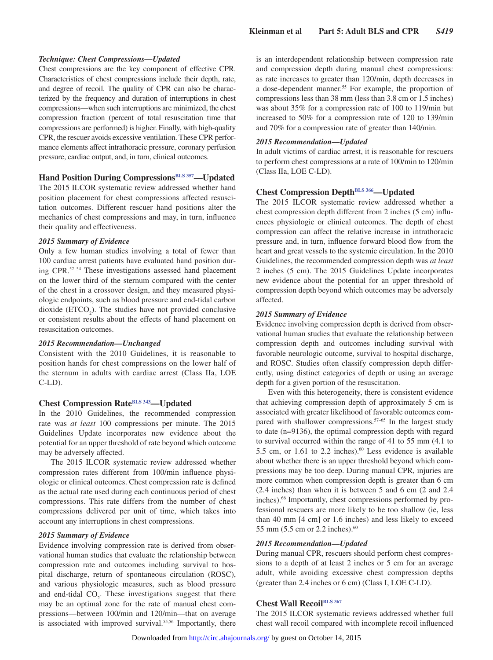#### *Technique: Chest Compressions—Updated*

Chest compressions are the key component of effective CPR. Characteristics of chest compressions include their depth, rate, and degree of recoil. The quality of CPR can also be characterized by the frequency and duration of interruptions in chest compressions—when such interruptions are minimized, the chest compression fraction (percent of total resuscitation time that compressions are performed) is higher. Finally, with high-quality CPR, the rescuer avoids excessive ventilation. These CPR performance elements affect intrathoracic pressure, coronary perfusion pressure, cardiac output, and, in turn, clinical outcomes.

## **Hand Position During Compressions**<sup>BLS 357</sup>—Updated

The 2015 ILCOR systematic review addressed whether hand position placement for chest compressions affected resuscitation outcomes. Different rescuer hand positions alter the mechanics of chest compressions and may, in turn, influence their quality and effectiveness.

#### *2015 Summary of Evidence*

Only a few human studies involving a total of fewer than 100 cardiac arrest patients have evaluated hand position during CPR.52–54 These investigations assessed hand placement on the lower third of the sternum compared with the center of the chest in a crossover design, and they measured physiologic endpoints, such as blood pressure and end-tidal carbon dioxide  $(ETCO<sub>2</sub>)$ . The studies have not provided conclusive or consistent results about the effects of hand placement on resuscitation outcomes.

## *2015 Recommendation—Unchanged*

Consistent with the 2010 Guidelines, it is reasonable to position hands for chest compressions on the lower half of the sternum in adults with cardiac arrest (Class IIa, LOE  $C-LD$ ).

## **Chest Compression Rate[BLS 343—](https://volunteer.heart.org/apps/pico/Pages/PublicComment.aspx?q=343)Updated**

In the 2010 Guidelines, the recommended compression rate was *at least* 100 compressions per minute. The 2015 Guidelines Update incorporates new evidence about the potential for an upper threshold of rate beyond which outcome may be adversely affected.

The 2015 ILCOR systematic review addressed whether compression rates different from 100/min influence physiologic or clinical outcomes. Chest compression rate is defined as the actual rate used during each continuous period of chest compressions. This rate differs from the number of chest compressions delivered per unit of time, which takes into account any interruptions in chest compressions.

#### *2015 Summary of Evidence*

Evidence involving compression rate is derived from observational human studies that evaluate the relationship between compression rate and outcomes including survival to hospital discharge, return of spontaneous circulation (ROSC), and various physiologic measures, such as blood pressure and end-tidal  $CO<sub>2</sub>$ . These investigations suggest that there may be an optimal zone for the rate of manual chest compressions—between 100/min and 120/min—that on average is associated with improved survival.<sup>55,56</sup> Importantly, there

is an interdependent relationship between compression rate and compression depth during manual chest compressions: as rate increases to greater than 120/min, depth decreases in a dose-dependent manner.<sup>55</sup> For example, the proportion of compressions less than 38 mm (less than 3.8 cm or 1.5 inches) was about 35% for a compression rate of 100 to 119/min but increased to 50% for a compression rate of 120 to 139/min and 70% for a compression rate of greater than 140/min.

#### *2015 Recommendation—Updated*

In adult victims of cardiac arrest, it is reasonable for rescuers to perform chest compressions at a rate of 100/min to 120/min (Class IIa, LOE C-LD).

## **Chest Compression Depth<sup>BLS 366</sup>—Updated**

The 2015 ILCOR systematic review addressed whether a chest compression depth different from 2 inches (5 cm) influences physiologic or clinical outcomes. The depth of chest compression can affect the relative increase in intrathoracic pressure and, in turn, influence forward blood flow from the heart and great vessels to the systemic circulation. In the 2010 Guidelines, the recommended compression depth was *at least* 2 inches (5 cm). The 2015 Guidelines Update incorporates new evidence about the potential for an upper threshold of compression depth beyond which outcomes may be adversely affected.

#### *2015 Summary of Evidence*

Evidence involving compression depth is derived from observational human studies that evaluate the relationship between compression depth and outcomes including survival with favorable neurologic outcome, survival to hospital discharge, and ROSC. Studies often classify compression depth differently, using distinct categories of depth or using an average depth for a given portion of the resuscitation.

Even with this heterogeneity, there is consistent evidence that achieving compression depth of approximately 5 cm is associated with greater likelihood of favorable outcomes compared with shallower compressions.<sup>57-65</sup> In the largest study to date (n=9136), the optimal compression depth with regard to survival occurred within the range of 41 to 55 mm (4.1 to 5.5 cm, or 1.61 to 2.2 inches).<sup>60</sup> Less evidence is available about whether there is an upper threshold beyond which compressions may be too deep. During manual CPR, injuries are more common when compression depth is greater than 6 cm (2.4 inches) than when it is between 5 and 6 cm (2 and 2.4 inches).66 Importantly, chest compressions performed by professional rescuers are more likely to be too shallow (ie, less than 40 mm [4 cm] or 1.6 inches) and less likely to exceed 55 mm (5.5 cm or 2.2 inches).60

#### *2015 Recommendation—Updated*

During manual CPR, rescuers should perform chest compressions to a depth of at least 2 inches or 5 cm for an average adult, while avoiding excessive chest compression depths (greater than 2.4 inches or 6 cm) (Class I, LOE C-LD).

## **Chest Wall Recoi[lBLS 367](https://volunteer.heart.org/apps/pico/Pages/PublicComment.aspx?q=367)**

The 2015 ILCOR systematic reviews addressed whether full chest wall recoil compared with incomplete recoil influenced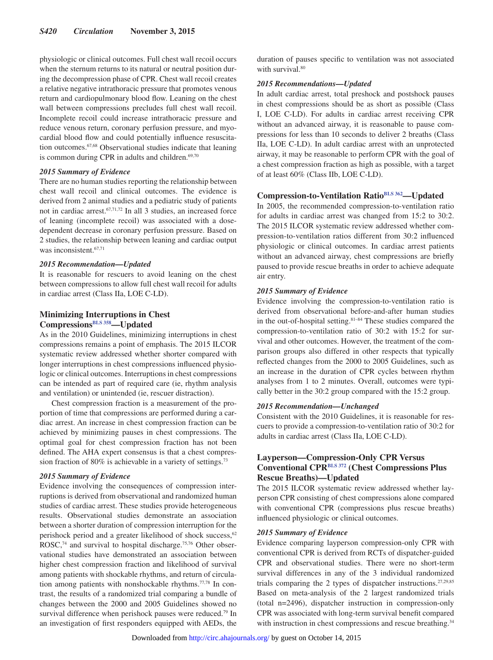physiologic or clinical outcomes. Full chest wall recoil occurs when the sternum returns to its natural or neutral position during the decompression phase of CPR. Chest wall recoil creates a relative negative intrathoracic pressure that promotes venous return and cardiopulmonary blood flow. Leaning on the chest wall between compressions precludes full chest wall recoil. Incomplete recoil could increase intrathoracic pressure and reduce venous return, coronary perfusion pressure, and myocardial blood flow and could potentially influence resuscitation outcomes.67,68 Observational studies indicate that leaning is common during CPR in adults and children. $69,70$ 

#### *2015 Summary of Evidence*

There are no human studies reporting the relationship between chest wall recoil and clinical outcomes. The evidence is derived from 2 animal studies and a pediatric study of patients not in cardiac arrest.67,71,72 In all 3 studies, an increased force of leaning (incomplete recoil) was associated with a dosedependent decrease in coronary perfusion pressure. Based on 2 studies, the relationship between leaning and cardiac output was inconsistent.<sup>67,71</sup>

## *2015 Recommendation—Updated*

It is reasonable for rescuers to avoid leaning on the chest between compressions to allow full chest wall recoil for adults in cardiac arrest (Class IIa, LOE C-LD).

## **Minimizing Interruptions in Chest Compressions[BLS 358](https://volunteer.heart.org/apps/pico/Pages/PublicComment.aspx?q=358)—Updated**

As in the 2010 Guidelines, minimizing interruptions in chest compressions remains a point of emphasis. The 2015 ILCOR systematic review addressed whether shorter compared with longer interruptions in chest compressions influenced physiologic or clinical outcomes. Interruptions in chest compressions can be intended as part of required care (ie, rhythm analysis and ventilation) or unintended (ie, rescuer distraction).

Chest compression fraction is a measurement of the proportion of time that compressions are performed during a cardiac arrest. An increase in chest compression fraction can be achieved by minimizing pauses in chest compressions. The optimal goal for chest compression fraction has not been defined. The AHA expert consensus is that a chest compression fraction of 80% is achievable in a variety of settings.<sup>73</sup>

#### *2015 Summary of Evidence*

Evidence involving the consequences of compression interruptions is derived from observational and randomized human studies of cardiac arrest. These studies provide heterogeneous results. Observational studies demonstrate an association between a shorter duration of compression interruption for the perishock period and a greater likelihood of shock success,<sup>62</sup> ROSC,<sup>74</sup> and survival to hospital discharge.<sup>75,76</sup> Other observational studies have demonstrated an association between higher chest compression fraction and likelihood of survival among patients with shockable rhythms, and return of circulation among patients with nonshockable rhythms.77,78 In contrast, the results of a randomized trial comparing a bundle of changes between the 2000 and 2005 Guidelines showed no survival difference when perishock pauses were reduced.<sup>79</sup> In an investigation of first responders equipped with AEDs, the duration of pauses specific to ventilation was not associated with survival.<sup>80</sup>

## *2015 Recommendations—Updated*

In adult cardiac arrest, total preshock and postshock pauses in chest compressions should be as short as possible (Class I, LOE C-LD). For adults in cardiac arrest receiving CPR without an advanced airway, it is reasonable to pause compressions for less than 10 seconds to deliver 2 breaths (Class IIa, LOE C-LD). In adult cardiac arrest with an unprotected airway, it may be reasonable to perform CPR with the goal of a chest compression fraction as high as possible, with a target of at least 60% (Class IIb, LOE C-LD).

## **Compression-to-Ventilation Ratio[BLS 362—](https://volunteer.heart.org/apps/pico/Pages/PublicComment.aspx?q=362)Updated**

In 2005, the recommended compression-to-ventilation ratio for adults in cardiac arrest was changed from 15:2 to 30:2. The 2015 ILCOR systematic review addressed whether compression-to-ventilation ratios different from 30:2 influenced physiologic or clinical outcomes. In cardiac arrest patients without an advanced airway, chest compressions are briefly paused to provide rescue breaths in order to achieve adequate air entry.

#### *2015 Summary of Evidence*

Evidence involving the compression-to-ventilation ratio is derived from observational before-and-after human studies in the out-of-hospital setting.<sup>81-84</sup> These studies compared the compression-to-ventilation ratio of 30:2 with 15:2 for survival and other outcomes. However, the treatment of the comparison groups also differed in other respects that typically reflected changes from the 2000 to 2005 Guidelines, such as an increase in the duration of CPR cycles between rhythm analyses from 1 to 2 minutes. Overall, outcomes were typically better in the 30:2 group compared with the 15:2 group.

#### *2015 Recommendation—Unchanged*

Consistent with the 2010 Guidelines, it is reasonable for rescuers to provide a compression-to-ventilation ratio of 30:2 for adults in cardiac arrest (Class IIa, LOE C-LD).

## **Layperson—Compression-Only CPR Versus Conventional CPR[BLS 372](https://volunteer.heart.org/apps/pico/Pages/PublicComment.aspx?q=372) (Chest Compressions Plus Rescue Breaths)—Updated**

The 2015 ILCOR systematic review addressed whether layperson CPR consisting of chest compressions alone compared with conventional CPR (compressions plus rescue breaths) influenced physiologic or clinical outcomes.

## *2015 Summary of Evidence*

Evidence comparing layperson compression-only CPR with conventional CPR is derived from RCTs of dispatcher-guided CPR and observational studies. There were no short-term survival differences in any of the 3 individual randomized trials comparing the 2 types of dispatcher instructions.27,29,85 Based on meta-analysis of the 2 largest randomized trials (total n=2496), dispatcher instruction in compression-only CPR was associated with long-term survival benefit compared with instruction in chest compressions and rescue breathing.<sup>34</sup>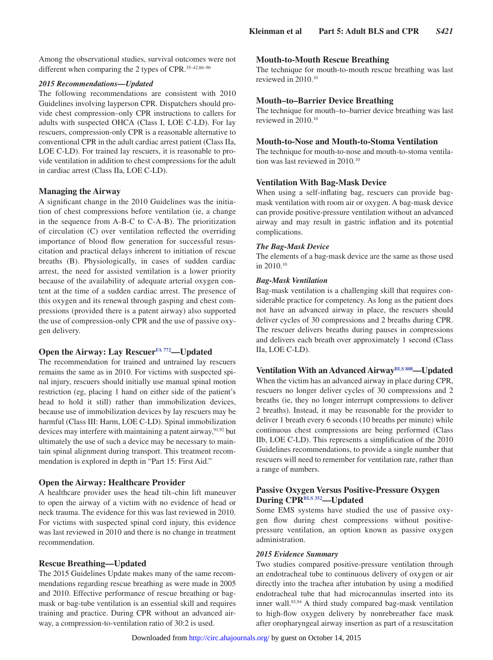Among the observational studies, survival outcomes were not different when comparing the 2 types of CPR.<sup>35-42,86-90</sup>

## *2015 Recommendations—Updated*

The following recommendations are consistent with 2010 Guidelines involving layperson CPR. Dispatchers should provide chest compression–only CPR instructions to callers for adults with suspected OHCA (Class I, LOE C-LD). For lay rescuers, compression-only CPR is a reasonable alternative to conventional CPR in the adult cardiac arrest patient (Class IIa, LOE C-LD). For trained lay rescuers, it is reasonable to provide ventilation in addition to chest compressions for the adult in cardiac arrest (Class IIa, LOE C-LD).

## **Managing the Airway**

A significant change in the 2010 Guidelines was the initiation of chest compressions before ventilation (ie, a change in the sequence from A-B-C to C-A-B). The prioritization of circulation (C) over ventilation reflected the overriding importance of blood flow generation for successful resuscitation and practical delays inherent to initiation of rescue breaths (B). Physiologically, in cases of sudden cardiac arrest, the need for assisted ventilation is a lower priority because of the availability of adequate arterial oxygen content at the time of a sudden cardiac arrest. The presence of this oxygen and its renewal through gasping and chest compressions (provided there is a patent airway) also supported the use of compression-only CPR and the use of passive oxygen delivery.

## **Open the Airway: Lay Rescuer[FA 772](https://volunteer.heart.org/apps/pico/Pages/PublicComment.aspx?q=772)—Updated**

The recommendation for trained and untrained lay rescuers remains the same as in 2010. For victims with suspected spinal injury, rescuers should initially use manual spinal motion restriction (eg, placing 1 hand on either side of the patient's head to hold it still) rather than immobilization devices, because use of immobilization devices by lay rescuers may be harmful (Class III: Harm, LOE C-LD). Spinal immobilization devices may interfere with maintaining a patent airway,<sup>91,92</sup> but ultimately the use of such a device may be necessary to maintain spinal alignment during transport. This treatment recommendation is explored in depth in "Part 15: First Aid."

## **Open the Airway: Healthcare Provider**

A healthcare provider uses the head tilt–chin lift maneuver to open the airway of a victim with no evidence of head or neck trauma. The evidence for this was last reviewed in 2010. For victims with suspected spinal cord injury, this evidence was last reviewed in 2010 and there is no change in treatment recommendation.

## **Rescue Breathing—Updated**

The 2015 Guidelines Update makes many of the same recommendations regarding rescue breathing as were made in 2005 and 2010. Effective performance of rescue breathing or bagmask or bag-tube ventilation is an essential skill and requires training and practice. During CPR without an advanced airway, a compression-to-ventilation ratio of 30:2 is used.

## **Mouth-to-Mouth Rescue Breathing**

The technique for mouth-to-mouth rescue breathing was last reviewed in 2010.10

## **Mouth–to–Barrier Device Breathing**

The technique for mouth–to–barrier device breathing was last reviewed in 2010.10

## **Mouth-to-Nose and Mouth-to-Stoma Ventilation**

The technique for mouth-to-nose and mouth-to-stoma ventilation was last reviewed in 2010.10

#### **Ventilation With Bag-Mask Device**

When using a self-inflating bag, rescuers can provide bagmask ventilation with room air or oxygen. A bag-mask device can provide positive-pressure ventilation without an advanced airway and may result in gastric inflation and its potential complications.

#### *The Bag-Mask Device*

The elements of a bag-mask device are the same as those used in 2010.10

#### *Bag-Mask Ventilation*

Bag-mask ventilation is a challenging skill that requires considerable practice for competency. As long as the patient does not have an advanced airway in place, the rescuers should deliver cycles of 30 compressions and 2 breaths during CPR. The rescuer delivers breaths during pauses in compressions and delivers each breath over approximately 1 second (Class IIa, LOE C-LD).

## **Ventilation With an Advanced Airway**<sup>BLS 808</sup>—**Updated**

When the victim has an advanced airway in place during CPR, rescuers no longer deliver cycles of 30 compressions and 2 breaths (ie, they no longer interrupt compressions to deliver 2 breaths). Instead, it may be reasonable for the provider to deliver 1 breath every 6 seconds (10 breaths per minute) while continuous chest compressions are being performed (Class IIb, LOE C-LD). This represents a simplification of the 2010 Guidelines recommendations, to provide a single number that rescuers will need to remember for ventilation rate, rather than a range of numbers.

## **Passive Oxygen Versus Positive-Pressure Oxygen During CP[RBLS 352—](https://volunteer.heart.org/apps/pico/Pages/PublicComment.aspx?q=352)Updated**

Some EMS systems have studied the use of passive oxygen flow during chest compressions without positivepressure ventilation, an option known as passive oxygen administration.

## *2015 Evidence Summary*

Two studies compared positive-pressure ventilation through an endotracheal tube to continuous delivery of oxygen or air directly into the trachea after intubation by using a modified endotracheal tube that had microcannulas inserted into its inner wall.<sup>93,94</sup> A third study compared bag-mask ventilation to high-flow oxygen delivery by nonrebreather face mask after oropharyngeal airway insertion as part of a resuscitation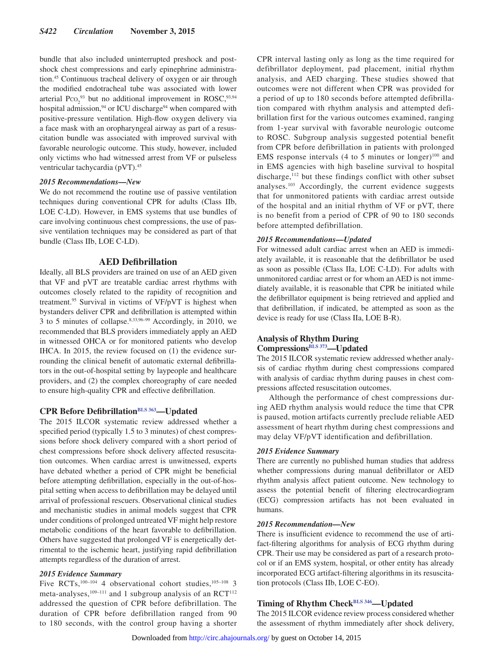bundle that also included uninterrupted preshock and postshock chest compressions and early epinephrine administration.45 Continuous tracheal delivery of oxygen or air through the modified endotracheal tube was associated with lower arterial  $P_{\text{CO}_2}^{93}$  but no additional improvement in ROSC,  $93,94$ hospital admission,<sup>94</sup> or ICU discharge<sup>94</sup> when compared with positive-pressure ventilation. High-flow oxygen delivery via a face mask with an oropharyngeal airway as part of a resuscitation bundle was associated with improved survival with favorable neurologic outcome. This study, however, included only victims who had witnessed arrest from VF or pulseless ventricular tachycardia (pVT).45

#### *2015 Recommendations—New*

We do not recommend the routine use of passive ventilation techniques during conventional CPR for adults (Class IIb, LOE C-LD). However, in EMS systems that use bundles of care involving continuous chest compressions, the use of passive ventilation techniques may be considered as part of that bundle (Class IIb, LOE C-LD).

## **AED Defibrillation**

Ideally, all BLS providers are trained on use of an AED given that VF and pVT are treatable cardiac arrest rhythms with outcomes closely related to the rapidity of recognition and treatment.95 Survival in victims of VF/pVT is highest when bystanders deliver CPR and defibrillation is attempted within 3 to 5 minutes of collapse.8,33,96–99 Accordingly, in 2010, we recommended that BLS providers immediately apply an AED in witnessed OHCA or for monitored patients who develop IHCA. In 2015, the review focused on (1) the evidence surrounding the clinical benefit of automatic external defibrillators in the out-of-hospital setting by laypeople and healthcare providers, and (2) the complex choreography of care needed to ensure high-quality CPR and effective defibrillation.

## **CPR Before Defibrillation**<sup>BLS 363</sup>—Updated

The 2015 ILCOR systematic review addressed whether a specified period (typically 1.5 to 3 minutes) of chest compressions before shock delivery compared with a short period of chest compressions before shock delivery affected resuscitation outcomes. When cardiac arrest is unwitnessed, experts have debated whether a period of CPR might be beneficial before attempting defibrillation, especially in the out-of-hospital setting when access to defibrillation may be delayed until arrival of professional rescuers. Observational clinical studies and mechanistic studies in animal models suggest that CPR under conditions of prolonged untreated VF might help restore metabolic conditions of the heart favorable to defibrillation. Others have suggested that prolonged VF is energetically detrimental to the ischemic heart, justifying rapid defibrillation attempts regardless of the duration of arrest.

#### *2015 Evidence Summary*

Five RCTs,<sup>100–104</sup> 4 observational cohort studies,<sup>105–108</sup> 3 meta-analyses,<sup>109–111</sup> and 1 subgroup analysis of an  $RCT^{112}$ addressed the question of CPR before defibrillation. The duration of CPR before defibrillation ranged from 90 to 180 seconds, with the control group having a shorter CPR interval lasting only as long as the time required for defibrillator deployment, pad placement, initial rhythm analysis, and AED charging. These studies showed that outcomes were not different when CPR was provided for a period of up to 180 seconds before attempted defibrillation compared with rhythm analysis and attempted defibrillation first for the various outcomes examined, ranging from 1-year survival with favorable neurologic outcome to ROSC. Subgroup analysis suggested potential benefit from CPR before defibrillation in patients with prolonged EMS response intervals  $(4 \text{ to } 5 \text{ minutes or longer})^{100}$  and in EMS agencies with high baseline survival to hospital discharge,<sup>112</sup> but these findings conflict with other subset analyses.103 Accordingly, the current evidence suggests that for unmonitored patients with cardiac arrest outside of the hospital and an initial rhythm of VF or pVT, there is no benefit from a period of CPR of 90 to 180 seconds before attempted defibrillation.

#### *2015 Recommendations—Updated*

For witnessed adult cardiac arrest when an AED is immediately available, it is reasonable that the defibrillator be used as soon as possible (Class IIa, LOE C-LD). For adults with unmonitored cardiac arrest or for whom an AED is not immediately available, it is reasonable that CPR be initiated while the defibrillator equipment is being retrieved and applied and that defibrillation, if indicated, be attempted as soon as the device is ready for use (Class IIa, LOE B-R).

## **Analysis of Rhythm During**

## **Compressions[BLS 373](https://volunteer.heart.org/apps/pico/Pages/PublicComment.aspx?q=373)—Updated**

The 2015 ILCOR systematic review addressed whether analysis of cardiac rhythm during chest compressions compared with analysis of cardiac rhythm during pauses in chest compressions affected resuscitation outcomes.

Although the performance of chest compressions during AED rhythm analysis would reduce the time that CPR is paused, motion artifacts currently preclude reliable AED assessment of heart rhythm during chest compressions and may delay VF/pVT identification and defibrillation.

#### *2015 Evidence Summary*

There are currently no published human studies that address whether compressions during manual defibrillator or AED rhythm analysis affect patient outcome. New technology to assess the potential benefit of filtering electrocardiogram (ECG) compression artifacts has not been evaluated in humans.

## *2015 Recommendation—New*

There is insufficient evidence to recommend the use of artifact-filtering algorithms for analysis of ECG rhythm during CPR. Their use may be considered as part of a research protocol or if an EMS system, hospital, or other entity has already incorporated ECG artifact-filtering algorithms in its resuscitation protocols (Class IIb, LOE C-EO).

## **Timing of Rhythm Chec[kBLS 346—](https://volunteer.heart.org/apps/pico/Pages/PublicComment.aspx?q=346)Updated**

The 2015 ILCOR evidence review process considered whether the assessment of rhythm immediately after shock delivery,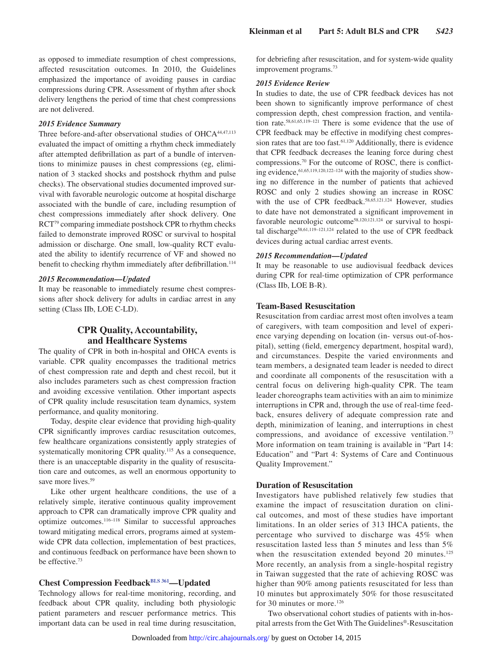as opposed to immediate resumption of chest compressions, affected resuscitation outcomes. In 2010, the Guidelines emphasized the importance of avoiding pauses in cardiac compressions during CPR. Assessment of rhythm after shock delivery lengthens the period of time that chest compressions are not delivered.

#### *2015 Evidence Summary*

Three before-and-after observational studies of OHCA<sup>44,47,113</sup> evaluated the impact of omitting a rhythm check immediately after attempted defibrillation as part of a bundle of interventions to minimize pauses in chest compressions (eg, elimination of 3 stacked shocks and postshock rhythm and pulse checks). The observational studies documented improved survival with favorable neurologic outcome at hospital discharge associated with the bundle of care, including resumption of chest compressions immediately after shock delivery. One RCT79 comparing immediate postshock CPR to rhythm checks failed to demonstrate improved ROSC or survival to hospital admission or discharge. One small, low-quality RCT evaluated the ability to identify recurrence of VF and showed no benefit to checking rhythm immediately after defibrillation.<sup>114</sup>

#### *2015 Recommendation—Updated*

It may be reasonable to immediately resume chest compressions after shock delivery for adults in cardiac arrest in any setting (Class IIb, LOE C-LD).

## **CPR Quality, Accountability, and Healthcare Systems**

The quality of CPR in both in-hospital and OHCA events is variable. CPR quality encompasses the traditional metrics of chest compression rate and depth and chest recoil, but it also includes parameters such as chest compression fraction and avoiding excessive ventilation. Other important aspects of CPR quality include resuscitation team dynamics, system performance, and quality monitoring.

Today, despite clear evidence that providing high-quality CPR significantly improves cardiac resuscitation outcomes, few healthcare organizations consistently apply strategies of systematically monitoring CPR quality.<sup>115</sup> As a consequence, there is an unacceptable disparity in the quality of resuscitation care and outcomes, as well an enormous opportunity to save more lives.<sup>59</sup>

Like other urgent healthcare conditions, the use of a relatively simple, iterative continuous quality improvement approach to CPR can dramatically improve CPR quality and optimize outcomes.116–118 Similar to successful approaches toward mitigating medical errors, programs aimed at systemwide CPR data collection, implementation of best practices, and continuous feedback on performance have been shown to be effective.73

## **Chest Compression Feedback[BLS 361—](https://volunteer.heart.org/apps/pico/Pages/PublicComment.aspx?q=361)Updated**

Technology allows for real-time monitoring, recording, and feedback about CPR quality, including both physiologic patient parameters and rescuer performance metrics. This important data can be used in real time during resuscitation, for debriefing after resuscitation, and for system-wide quality improvement programs.73

#### *2015 Evidence Review*

In studies to date, the use of CPR feedback devices has not been shown to significantly improve performance of chest compression depth, chest compression fraction, and ventilation rate.58,61,65,119–121 There is some evidence that the use of CPR feedback may be effective in modifying chest compression rates that are too fast.<sup>61,120</sup> Additionally, there is evidence that CPR feedback decreases the leaning force during chest compressions.70 For the outcome of ROSC, there is conflicting evidence, <sup>61,65,119,120,122-124</sup> with the majority of studies showing no difference in the number of patients that achieved ROSC and only 2 studies showing an increase in ROSC with the use of CPR feedback.<sup>58,65,121,124</sup> However, studies to date have not demonstrated a significant improvement in favorable neurologic outcome<sup>58,120,121,124</sup> or survival to hospital discharge<sup>58,61,119-121,124</sup> related to the use of CPR feedback devices during actual cardiac arrest events.

#### *2015 Recommendation—Updated*

It may be reasonable to use audiovisual feedback devices during CPR for real-time optimization of CPR performance (Class IIb, LOE B-R).

## **Team-Based Resuscitation**

Resuscitation from cardiac arrest most often involves a team of caregivers, with team composition and level of experience varying depending on location (in- versus out-of-hospital), setting (field, emergency department, hospital ward), and circumstances. Despite the varied environments and team members, a designated team leader is needed to direct and coordinate all components of the resuscitation with a central focus on delivering high-quality CPR. The team leader choreographs team activities with an aim to minimize interruptions in CPR and, through the use of real-time feedback, ensures delivery of adequate compression rate and depth, minimization of leaning, and interruptions in chest compressions, and avoidance of excessive ventilation.73 More information on team training is available in "Part 14: Education" and "Part 4: Systems of Care and Continuous Quality Improvement."

## **Duration of Resuscitation**

Investigators have published relatively few studies that examine the impact of resuscitation duration on clinical outcomes, and most of these studies have important limitations. In an older series of 313 IHCA patients, the percentage who survived to discharge was 45% when resuscitation lasted less than 5 minutes and less than 5% when the resuscitation extended beyond 20 minutes.<sup>125</sup> More recently, an analysis from a single-hospital registry in Taiwan suggested that the rate of achieving ROSC was higher than 90% among patients resuscitated for less than 10 minutes but approximately 50% for those resuscitated for 30 minutes or more.<sup>126</sup>

Two observational cohort studies of patients with in-hospital arrests from the Get With The Guidelines®-Resuscitation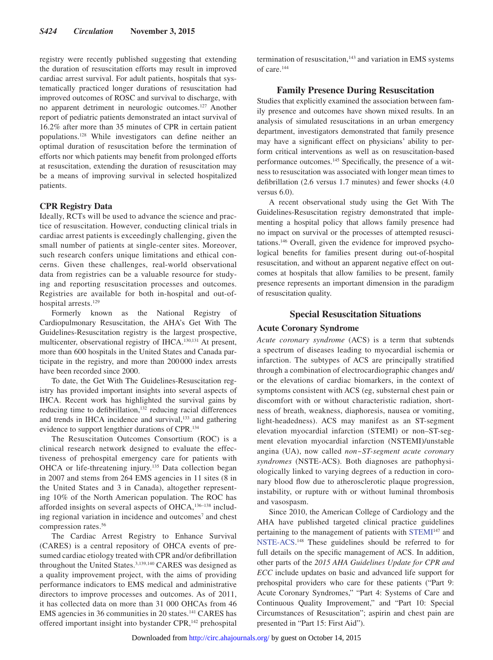registry were recently published suggesting that extending the duration of resuscitation efforts may result in improved cardiac arrest survival. For adult patients, hospitals that systematically practiced longer durations of resuscitation had improved outcomes of ROSC and survival to discharge, with no apparent detriment in neurologic outcomes.127 Another report of pediatric patients demonstrated an intact survival of 16.2% after more than 35 minutes of CPR in certain patient populations.128 While investigators can define neither an optimal duration of resuscitation before the termination of efforts nor which patients may benefit from prolonged efforts at resuscitation, extending the duration of resuscitation may be a means of improving survival in selected hospitalized patients.

## **CPR Registry Data**

Ideally, RCTs will be used to advance the science and practice of resuscitation. However, conducting clinical trials in cardiac arrest patients is exceedingly challenging, given the small number of patients at single-center sites. Moreover, such research confers unique limitations and ethical concerns. Given these challenges, real-world observational data from registries can be a valuable resource for studying and reporting resuscitation processes and outcomes. Registries are available for both in-hospital and out-ofhospital arrests.<sup>129</sup>

Formerly known as the National Registry of Cardiopulmonary Resuscitation, the AHA's Get With The Guidelines-Resuscitation registry is the largest prospective, multicenter, observational registry of IHCA.130,131 At present, more than 600 hospitals in the United States and Canada participate in the registry, and more than 200000 index arrests have been recorded since 2000.

To date, the Get With The Guidelines-Resuscitation registry has provided important insights into several aspects of IHCA. Recent work has highlighted the survival gains by reducing time to defibrillation,<sup>132</sup> reducing racial differences and trends in IHCA incidence and survival,<sup>133</sup> and gathering evidence to support lengthier durations of CPR.134

The Resuscitation Outcomes Consortium (ROC) is a clinical research network designed to evaluate the effectiveness of prehospital emergency care for patients with OHCA or life-threatening injury.135 Data collection began in 2007 and stems from 264 EMS agencies in 11 sites (8 in the United States and 3 in Canada), altogether representing 10% of the North American population. The ROC has afforded insights on several aspects of OHCA,<sup>136-138</sup> including regional variation in incidence and outcomes<sup>7</sup> and chest compression rates.56

The Cardiac Arrest Registry to Enhance Survival (CARES) is a central repository of OHCA events of presumed cardiac etiology treated with CPR and/or defibrillation throughout the United States.<sup>3,139,140</sup> CARES was designed as a quality improvement project, with the aims of providing performance indicators to EMS medical and administrative directors to improve processes and outcomes. As of 2011, it has collected data on more than 31 000 OHCAs from 46 EMS agencies in 36 communities in 20 states.141 CARES has offered important insight into bystander CPR,<sup>142</sup> prehospital termination of resuscitation,<sup>143</sup> and variation in EMS systems of care.144

## **Family Presence During Resuscitation**

Studies that explicitly examined the association between family presence and outcomes have shown mixed results. In an analysis of simulated resuscitations in an urban emergency department, investigators demonstrated that family presence may have a significant effect on physicians' ability to perform critical interventions as well as on resuscitation-based performance outcomes.145 Specifically, the presence of a witness to resuscitation was associated with longer mean times to defibrillation (2.6 versus 1.7 minutes) and fewer shocks (4.0 versus 6.0).

A recent observational study using the Get With The Guidelines-Resuscitation registry demonstrated that implementing a hospital policy that allows family presence had no impact on survival or the processes of attempted resuscitations.146 Overall, given the evidence for improved psychological benefits for families present during out-of-hospital resuscitation, and without an apparent negative effect on outcomes at hospitals that allow families to be present, family presence represents an important dimension in the paradigm of resuscitation quality.

## **Special Resuscitation Situations**

## **Acute Coronary Syndrome**

*Acute coronary syndrome* (ACS) is a term that subtends a spectrum of diseases leading to myocardial ischemia or infarction. The subtypes of ACS are principally stratified through a combination of electrocardiographic changes and/ or the elevations of cardiac biomarkers, in the context of symptoms consistent with ACS (eg, substernal chest pain or discomfort with or without characteristic radiation, shortness of breath, weakness, diaphoresis, nausea or vomiting, light-headedness). ACS may manifest as an ST-segment elevation myocardial infarction (STEMI) or non–ST-segment elevation myocardial infarction (NSTEMI)/unstable angina (UA), now called *non‒ST-segment acute coronary syndromes* (NSTE-ACS). Both diagnoses are pathophysiologically linked to varying degrees of a reduction in coronary blood flow due to atherosclerotic plaque progression, instability, or rupture with or without luminal thrombosis and vasospasm.

Since 2010, the American College of Cardiology and the AHA have published targeted clinical practice guidelines pertaining to the management of patients with [STEMI](http://circ.ahajournals.org/content/127/4/e362.full.pdf+html)147 and [NSTE-ACS](http://circ.ahajournals.org/content/130/25/e344.full.pdf+html). 148 These guidelines should be referred to for full details on the specific management of ACS. In addition, other parts of the *2015 AHA Guidelines Update for CPR and ECC* include updates on basic and advanced life support for prehospital providers who care for these patients ("Part 9: Acute Coronary Syndromes," "Part 4: Systems of Care and Continuous Quality Improvement," and "Part 10: Special Circumstances of Resuscitation"; aspirin and chest pain are presented in "Part 15: First Aid").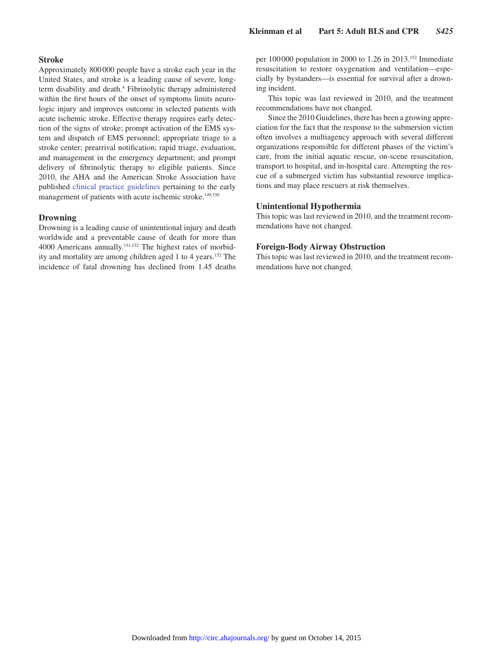## **Stroke**

Approximately 800000 people have a stroke each year in the United States, and stroke is a leading cause of severe, longterm disability and death.<sup>4</sup> Fibrinolytic therapy administered within the first hours of the onset of symptoms limits neurologic injury and improves outcome in selected patients with acute ischemic stroke. Effective therapy requires early detection of the signs of stroke; prompt activation of the EMS system and dispatch of EMS personnel; appropriate triage to a stroke center; prearrival notification; rapid triage, evaluation, and management in the emergency department; and prompt delivery of fibrinolytic therapy to eligible patients. Since 2010, the AHA and the American Stroke Association have published [clinical practice guidelines](http://stroke.ahajournals.org/content/44/3/870.full.pdf+html) pertaining to the early management of patients with acute ischemic stroke.<sup>149,150</sup>

#### **Drowning**

Drowning is a leading cause of unintentional injury and death worldwide and a preventable cause of death for more than 4000 Americans annually.151,152 The highest rates of morbidity and mortality are among children aged 1 to 4 years.152 The incidence of fatal drowning has declined from 1.45 deaths per 100 000 population in 2000 to 1.26 in 2013.152 Immediate resuscitation to restore oxygenation and ventilation—especially by bystanders—is essential for survival after a drowning incident.

This topic was last reviewed in 2010, and the treatment recommendations have not changed.

Since the 2010 Guidelines, there has been a growing appreciation for the fact that the response to the submersion victim often involves a multiagency approach with several different organizations responsible for different phases of the victim's care, from the initial aquatic rescue, on-scene resuscitation, transport to hospital, and in-hospital care. Attempting the rescue of a submerged victim has substantial resource implications and may place rescuers at risk themselves.

## **Unintentional Hypothermia**

This topic was last reviewed in 2010, and the treatment recommendations have not changed.

## **Foreign-Body Airway Obstruction**

This topic was last reviewed in 2010, and the treatment recommendations have not changed.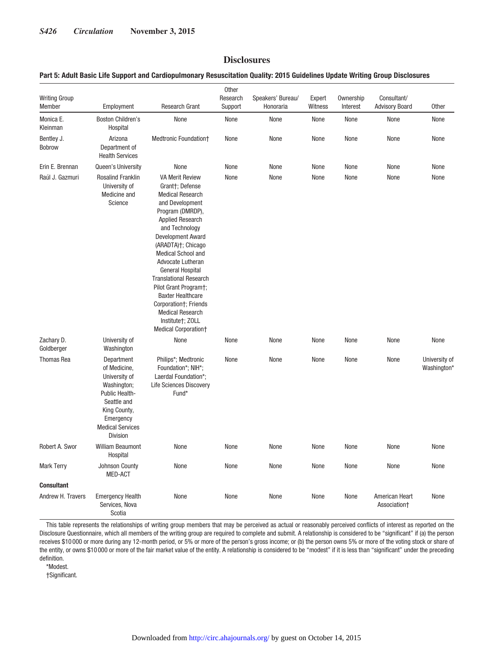## **Disclosures**

## **Part 5: Adult Basic Life Support and Cardiopulmonary Resuscitation Quality: 2015 Guidelines Update Writing Group Disclosures**

| <b>Writing Group</b><br>Member | Employment                                                                                                                                                      | <b>Research Grant</b>                                                                                                                                                                                                                                                                                                                                                                                                                                                         | Other<br>Research<br>Support | Speakers' Bureau/<br>Honoraria | Expert<br>Witness | Ownership<br>Interest | Consultant/<br><b>Advisory Board</b> | <b>Other</b>                 |
|--------------------------------|-----------------------------------------------------------------------------------------------------------------------------------------------------------------|-------------------------------------------------------------------------------------------------------------------------------------------------------------------------------------------------------------------------------------------------------------------------------------------------------------------------------------------------------------------------------------------------------------------------------------------------------------------------------|------------------------------|--------------------------------|-------------------|-----------------------|--------------------------------------|------------------------------|
| Monica E.<br>Kleinman          | <b>Boston Children's</b><br>Hospital                                                                                                                            | None                                                                                                                                                                                                                                                                                                                                                                                                                                                                          | None                         | None                           | None              | None                  | None                                 | None                         |
| Bentley J.<br>Bobrow           | Arizona<br>Department of<br><b>Health Services</b>                                                                                                              | Medtronic Foundation+                                                                                                                                                                                                                                                                                                                                                                                                                                                         | None                         | None                           | None              | None                  | None                                 | None                         |
| Erin E. Brennan                | Queen's University                                                                                                                                              | None                                                                                                                                                                                                                                                                                                                                                                                                                                                                          | None                         | None                           | None              | None                  | None                                 | None                         |
| Raúl J. Gazmuri                | <b>Rosalind Franklin</b><br>University of<br>Medicine and<br>Science                                                                                            | <b>VA Merit Review</b><br>Grant†; Defense<br><b>Medical Research</b><br>and Development<br>Program (DMRDP),<br><b>Applied Research</b><br>and Technology<br><b>Development Award</b><br>(ARADTA)†; Chicago<br>Medical School and<br>Advocate Lutheran<br><b>General Hospital</b><br><b>Translational Research</b><br>Pilot Grant Program†;<br><b>Baxter Healthcare</b><br>Corporation†; Friends<br><b>Medical Research</b><br>Institute†; ZOLL<br><b>Medical Corporation+</b> | None                         | None                           | None              | None                  | None                                 | None                         |
| Zachary D.<br>Goldberger       | University of<br>Washington                                                                                                                                     | None                                                                                                                                                                                                                                                                                                                                                                                                                                                                          | None                         | None                           | None              | None                  | None                                 | None                         |
| <b>Thomas Rea</b>              | Department<br>of Medicine,<br>University of<br>Washington;<br>Public Health-<br>Seattle and<br>King County,<br>Emergency<br><b>Medical Services</b><br>Division | Philips*; Medtronic<br>Foundation*; NIH*;<br>Laerdal Foundation*;<br><b>Life Sciences Discovery</b><br>Fund*                                                                                                                                                                                                                                                                                                                                                                  | None                         | None                           | None              | None                  | None                                 | University of<br>Washington* |
| Robert A. Swor                 | <b>William Beaumont</b><br>Hospital                                                                                                                             | None                                                                                                                                                                                                                                                                                                                                                                                                                                                                          | None                         | None                           | None              | None                  | None                                 | None                         |
| <b>Mark Terry</b>              | Johnson County<br><b>MED-ACT</b>                                                                                                                                | None                                                                                                                                                                                                                                                                                                                                                                                                                                                                          | None                         | None                           | None              | None                  | None                                 | None                         |
| <b>Consultant</b>              |                                                                                                                                                                 |                                                                                                                                                                                                                                                                                                                                                                                                                                                                               |                              |                                |                   |                       |                                      |                              |
| Andrew H. Travers              | <b>Emergency Health</b><br>Services, Nova<br>Scotia                                                                                                             | None                                                                                                                                                                                                                                                                                                                                                                                                                                                                          | None                         | None                           | None              | None                  | American Heart<br>Association+       | None                         |

This table represents the relationships of writing group members that may be perceived as actual or reasonably perceived conflicts of interest as reported on the Disclosure Questionnaire, which all members of the writing group are required to complete and submit. A relationship is considered to be "significant" if (a) the person receives \$10 000 or more during any 12-month period, or 5% or more of the person's gross income; or (b) the person owns 5% or more of the voting stock or share of the entity, or owns \$10 000 or more of the fair market value of the entity. A relationship is considered to be "modest" if it is less than "significant" under the preceding definition.

\*Modest.

†Significant.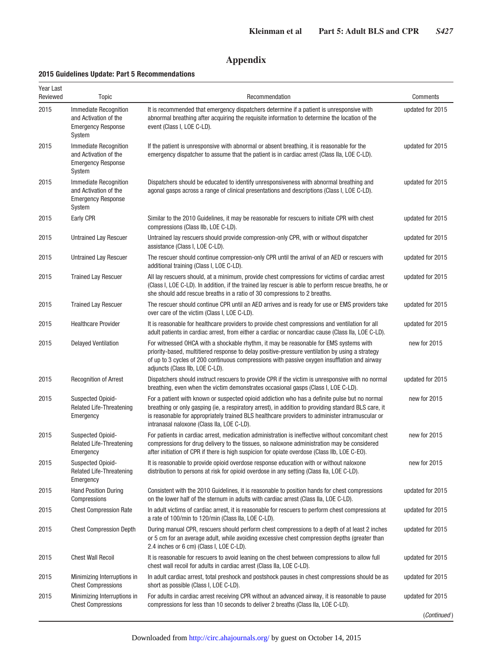## **Appendix**

## **2015 Guidelines Update: Part 5 Recommendations**

| Year Last<br>Reviewed | <b>Topic</b>                                                                                 | Recommendation                                                                                                                                                                                                                                                                                                                                         | Comments         |
|-----------------------|----------------------------------------------------------------------------------------------|--------------------------------------------------------------------------------------------------------------------------------------------------------------------------------------------------------------------------------------------------------------------------------------------------------------------------------------------------------|------------------|
| 2015                  | <b>Immediate Recognition</b><br>and Activation of the<br><b>Emergency Response</b><br>System | It is recommended that emergency dispatchers determine if a patient is unresponsive with<br>abnormal breathing after acquiring the requisite information to determine the location of the<br>event (Class I, LOE C-LD).                                                                                                                                | updated for 2015 |
| 2015                  | Immediate Recognition<br>and Activation of the<br><b>Emergency Response</b><br>System        | If the patient is unresponsive with abnormal or absent breathing, it is reasonable for the<br>emergency dispatcher to assume that the patient is in cardiac arrest (Class IIa, LOE C-LD).                                                                                                                                                              | updated for 2015 |
| 2015                  | Immediate Recognition<br>and Activation of the<br><b>Emergency Response</b><br>System        | Dispatchers should be educated to identify unresponsiveness with abnormal breathing and<br>agonal gasps across a range of clinical presentations and descriptions (Class I, LOE C-LD).                                                                                                                                                                 | updated for 2015 |
| 2015                  | Early CPR                                                                                    | Similar to the 2010 Guidelines, it may be reasonable for rescuers to initiate CPR with chest<br>compressions (Class IIb, LOE C-LD).                                                                                                                                                                                                                    | updated for 2015 |
| 2015                  | Untrained Lay Rescuer                                                                        | Untrained lay rescuers should provide compression-only CPR, with or without dispatcher<br>assistance (Class I, LOE C-LD).                                                                                                                                                                                                                              | updated for 2015 |
| 2015                  | Untrained Lay Rescuer                                                                        | The rescuer should continue compression-only CPR until the arrival of an AED or rescuers with<br>additional training (Class I, LOE C-LD).                                                                                                                                                                                                              | updated for 2015 |
| 2015                  | <b>Trained Lay Rescuer</b>                                                                   | All lay rescuers should, at a minimum, provide chest compressions for victims of cardiac arrest<br>(Class I, LOE C-LD). In addition, if the trained lay rescuer is able to perform rescue breaths, he or<br>she should add rescue breaths in a ratio of 30 compressions to 2 breaths.                                                                  | updated for 2015 |
| 2015                  | <b>Trained Lay Rescuer</b>                                                                   | The rescuer should continue CPR until an AED arrives and is ready for use or EMS providers take<br>over care of the victim (Class I, LOE C-LD).                                                                                                                                                                                                        | updated for 2015 |
| 2015                  | <b>Healthcare Provider</b>                                                                   | It is reasonable for healthcare providers to provide chest compressions and ventilation for all<br>adult patients in cardiac arrest, from either a cardiac or noncardiac cause (Class IIa, LOE C-LD).                                                                                                                                                  | updated for 2015 |
| 2015                  | <b>Delayed Ventilation</b>                                                                   | For witnessed OHCA with a shockable rhythm, it may be reasonable for EMS systems with<br>priority-based, multitiered response to delay positive-pressure ventilation by using a strategy<br>of up to 3 cycles of 200 continuous compressions with passive oxygen insufflation and airway<br>adjuncts (Class IIb, LOE C-LD).                            | new for 2015     |
| 2015                  | <b>Recognition of Arrest</b>                                                                 | Dispatchers should instruct rescuers to provide CPR if the victim is unresponsive with no normal<br>breathing, even when the victim demonstrates occasional gasps (Class I, LOE C-LD).                                                                                                                                                                 | updated for 2015 |
| 2015                  | <b>Suspected Opioid-</b><br><b>Related Life-Threatening</b><br>Emergency                     | For a patient with known or suspected opioid addiction who has a definite pulse but no normal<br>breathing or only gasping (ie, a respiratory arrest), in addition to providing standard BLS care, it<br>is reasonable for appropriately trained BLS healthcare providers to administer intramuscular or<br>intranasal naloxone (Class IIa, LOE C-LD). | new for 2015     |
| 2015                  | Suspected Opioid-<br>Related Life-Threatening<br>Emergency                                   | For patients in cardiac arrest, medication administration is ineffective without concomitant chest<br>compressions for drug delivery to the tissues, so naloxone administration may be considered<br>after initiation of CPR if there is high suspicion for opiate overdose (Class IIb, LOE C-EO).                                                     | new for 2015     |
| 2015                  | Suspected Opioid-<br>Related Life-Threatening<br>Emergency                                   | It is reasonable to provide opioid overdose response education with or without naloxone<br>distribution to persons at risk for opioid overdose in any setting (Class IIa, LOE C-LD).                                                                                                                                                                   | new for 2015     |
| 2015                  | <b>Hand Position During</b><br>Compressions                                                  | Consistent with the 2010 Guidelines, it is reasonable to position hands for chest compressions<br>on the lower half of the sternum in adults with cardiac arrest (Class IIa, LOE C-LD).                                                                                                                                                                | updated for 2015 |
| 2015                  | <b>Chest Compression Rate</b>                                                                | In adult victims of cardiac arrest, it is reasonable for rescuers to perform chest compressions at<br>a rate of 100/min to 120/min (Class IIa, LOE C-LD).                                                                                                                                                                                              | updated for 2015 |
| 2015                  | <b>Chest Compression Depth</b>                                                               | During manual CPR, rescuers should perform chest compressions to a depth of at least 2 inches<br>or 5 cm for an average adult, while avoiding excessive chest compression depths (greater than<br>2.4 inches or 6 cm) (Class I, LOE C-LD).                                                                                                             | updated for 2015 |
| 2015                  | <b>Chest Wall Recoil</b>                                                                     | It is reasonable for rescuers to avoid leaning on the chest between compressions to allow full<br>chest wall recoil for adults in cardiac arrest (Class IIa, LOE C-LD).                                                                                                                                                                                | updated for 2015 |
| 2015                  | Minimizing Interruptions in<br><b>Chest Compressions</b>                                     | In adult cardiac arrest, total preshock and postshock pauses in chest compressions should be as<br>short as possible (Class I, LOE C-LD).                                                                                                                                                                                                              | updated for 2015 |
| 2015                  | Minimizing Interruptions in<br><b>Chest Compressions</b>                                     | For adults in cardiac arrest receiving CPR without an advanced airway, it is reasonable to pause<br>compressions for less than 10 seconds to deliver 2 breaths (Class IIa, LOE C-LD).                                                                                                                                                                  | updated for 2015 |
|                       |                                                                                              |                                                                                                                                                                                                                                                                                                                                                        | (Continued)      |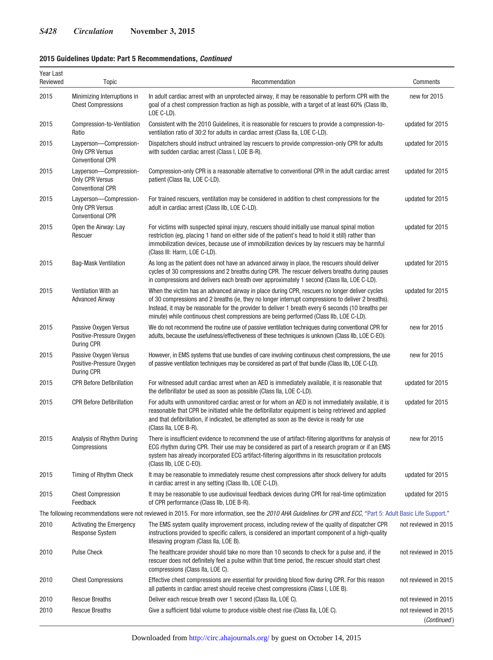## **2015 Guidelines Update: Part 5 Recommendations,** *Continued*

| Year Last<br>Reviewed | Topic                                                                       | Recommendation                                                                                                                                                                                                                                                                                                                                                                                      | Comments                            |
|-----------------------|-----------------------------------------------------------------------------|-----------------------------------------------------------------------------------------------------------------------------------------------------------------------------------------------------------------------------------------------------------------------------------------------------------------------------------------------------------------------------------------------------|-------------------------------------|
| 2015                  | Minimizing Interruptions in<br><b>Chest Compressions</b>                    | In adult cardiac arrest with an unprotected airway, it may be reasonable to perform CPR with the<br>goal of a chest compression fraction as high as possible, with a target of at least 60% (Class IIb,<br>LOE C-LD).                                                                                                                                                                               | new for 2015                        |
| 2015                  | Compression-to-Ventilation<br>Ratio                                         | Consistent with the 2010 Guidelines, it is reasonable for rescuers to provide a compression-to-<br>ventilation ratio of 30:2 for adults in cardiac arrest (Class IIa, LOE C-LD).                                                                                                                                                                                                                    | updated for 2015                    |
| 2015                  | Layperson-Compression-<br><b>Only CPR Versus</b><br><b>Conventional CPR</b> | Dispatchers should instruct untrained lay rescuers to provide compression-only CPR for adults<br>with sudden cardiac arrest (Class I, LOE B-R).                                                                                                                                                                                                                                                     | updated for 2015                    |
| 2015                  | Layperson-Compression-<br><b>Only CPR Versus</b><br><b>Conventional CPR</b> | Compression-only CPR is a reasonable alternative to conventional CPR in the adult cardiac arrest<br>patient (Class IIa, LOE C-LD).                                                                                                                                                                                                                                                                  | updated for 2015                    |
| 2015                  | Layperson-Compression-<br><b>Only CPR Versus</b><br><b>Conventional CPR</b> | For trained rescuers, ventilation may be considered in addition to chest compressions for the<br>adult in cardiac arrest (Class IIb, LOE C-LD).                                                                                                                                                                                                                                                     | updated for 2015                    |
| 2015                  | Open the Airway: Lay<br>Rescuer                                             | For victims with suspected spinal injury, rescuers should initially use manual spinal motion<br>restriction (eg, placing 1 hand on either side of the patient's head to hold it still) rather than<br>immobilization devices, because use of immobilization devices by lay rescuers may be harmful<br>(Class III: Harm, LOE C-LD).                                                                  | updated for 2015                    |
| 2015                  | <b>Bag-Mask Ventilation</b>                                                 | As long as the patient does not have an advanced airway in place, the rescuers should deliver<br>cycles of 30 compressions and 2 breaths during CPR. The rescuer delivers breaths during pauses<br>in compressions and delivers each breath over approximately 1 second (Class IIa, LOE C-LD).                                                                                                      | updated for 2015                    |
| 2015                  | Ventilation With an<br><b>Advanced Airway</b>                               | When the victim has an advanced airway in place during CPR, rescuers no longer deliver cycles<br>of 30 compressions and 2 breaths (ie, they no longer interrupt compressions to deliver 2 breaths).<br>Instead, it may be reasonable for the provider to deliver 1 breath every 6 seconds (10 breaths per<br>minute) while continuous chest compressions are being performed (Class IIb, LOE C-LD). | updated for 2015                    |
| 2015                  | Passive Oxygen Versus<br>Positive-Pressure Oxygen<br>During CPR             | We do not recommend the routine use of passive ventilation techniques during conventional CPR for<br>adults, because the usefulness/effectiveness of these techniques is unknown (Class IIb, LOE C-EO).                                                                                                                                                                                             | new for 2015                        |
| 2015                  | Passive Oxygen Versus<br>Positive-Pressure Oxygen<br>During CPR             | However, in EMS systems that use bundles of care involving continuous chest compressions, the use<br>of passive ventilation techniques may be considered as part of that bundle (Class IIb, LOE C-LD).                                                                                                                                                                                              | new for 2015                        |
| 2015                  | <b>CPR Before Defibrillation</b>                                            | For witnessed adult cardiac arrest when an AED is immediately available, it is reasonable that<br>the defibrillator be used as soon as possible (Class IIa, LOE C-LD).                                                                                                                                                                                                                              | updated for 2015                    |
| 2015                  | <b>CPR Before Defibrillation</b>                                            | For adults with unmonitored cardiac arrest or for whom an AED is not immediately available, it is<br>reasonable that CPR be initiated while the defibrillator equipment is being retrieved and applied<br>and that defibrillation, if indicated, be attempted as soon as the device is ready for use<br>(Class IIa, LOE B-R).                                                                       | updated for 2015                    |
| 2015                  | Analysis of Rhythm During<br>Compressions                                   | There is insufficient evidence to recommend the use of artifact-filtering algorithms for analysis of<br>ECG rhythm during CPR. Their use may be considered as part of a research program or if an EMS<br>system has already incorporated ECG artifact-filtering algorithms in its resuscitation protocols<br>(Class IIb, LOE C-EO).                                                                 | new for 2015                        |
| 2015                  | Timing of Rhythm Check                                                      | It may be reasonable to immediately resume chest compressions after shock delivery for adults<br>in cardiac arrest in any setting (Class IIb, LOE C-LD).                                                                                                                                                                                                                                            | updated for 2015                    |
| 2015                  | <b>Chest Compression</b><br>Feedback                                        | It may be reasonable to use audiovisual feedback devices during CPR for real-time optimization<br>of CPR performance (Class IIb, LOE B-R).                                                                                                                                                                                                                                                          | updated for 2015                    |
|                       |                                                                             | The following recommendations were not reviewed in 2015. For more information, see the 2010 AHA Guidelines for CPR and ECC, "Part 5: Adult Basic Life Support."                                                                                                                                                                                                                                     |                                     |
| 2010                  | <b>Activating the Emergency</b><br><b>Response System</b>                   | The EMS system quality improvement process, including review of the quality of dispatcher CPR<br>instructions provided to specific callers, is considered an important component of a high-quality<br>lifesaving program (Class IIa, LOE B).                                                                                                                                                        | not reviewed in 2015                |
| 2010                  | <b>Pulse Check</b>                                                          | The healthcare provider should take no more than 10 seconds to check for a pulse and, if the<br>rescuer does not definitely feel a pulse within that time period, the rescuer should start chest<br>compressions (Class IIa, LOE C).                                                                                                                                                                | not reviewed in 2015                |
| 2010                  | <b>Chest Compressions</b>                                                   | Effective chest compressions are essential for providing blood flow during CPR. For this reason<br>all patients in cardiac arrest should receive chest compressions (Class I, LOE B).                                                                                                                                                                                                               | not reviewed in 2015                |
| 2010                  | <b>Rescue Breaths</b>                                                       | Deliver each rescue breath over 1 second (Class IIa, LOE C).                                                                                                                                                                                                                                                                                                                                        | not reviewed in 2015                |
| 2010                  | <b>Rescue Breaths</b>                                                       | Give a sufficient tidal volume to produce visible chest rise (Class IIa, LOE C).                                                                                                                                                                                                                                                                                                                    | not reviewed in 2015<br>(Continued) |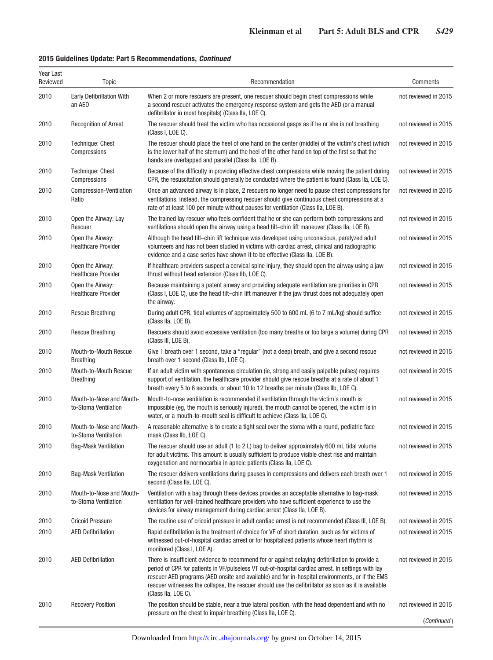## **2015 Guidelines Update: Part 5 Recommendations,** *Continued*

| Year Last<br>Reviewed | <b>Topic</b>                                     | Recommendation                                                                                                                                                                                                                                                                                                                                                                                                                         | Comments             |
|-----------------------|--------------------------------------------------|----------------------------------------------------------------------------------------------------------------------------------------------------------------------------------------------------------------------------------------------------------------------------------------------------------------------------------------------------------------------------------------------------------------------------------------|----------------------|
| 2010                  | <b>Early Defibrillation With</b><br>an AED       | When 2 or more rescuers are present, one rescuer should begin chest compressions while<br>a second rescuer activates the emergency response system and gets the AED (or a manual<br>defibrillator in most hospitals) (Class IIa, LOE C).                                                                                                                                                                                               | not reviewed in 2015 |
| 2010                  | <b>Recognition of Arrest</b>                     | The rescuer should treat the victim who has occasional gasps as if he or she is not breathing<br>(Class I, LOE C).                                                                                                                                                                                                                                                                                                                     | not reviewed in 2015 |
| 2010                  | Technique: Chest<br>Compressions                 | The rescuer should place the heel of one hand on the center (middle) of the victim's chest (which<br>is the lower half of the sternum) and the heel of the other hand on top of the first so that the<br>hands are overlapped and parallel (Class IIa, LOE B).                                                                                                                                                                         | not reviewed in 2015 |
| 2010                  | Technique: Chest<br>Compressions                 | Because of the difficulty in providing effective chest compressions while moving the patient during<br>CPR, the resuscitation should generally be conducted where the patient is found (Class IIa, LOE C).                                                                                                                                                                                                                             | not reviewed in 2015 |
| 2010                  | Compression-Ventilation<br>Ratio                 | Once an advanced airway is in place, 2 rescuers no longer need to pause chest compressions for<br>ventilations. Instead, the compressing rescuer should give continuous chest compressions at a<br>rate of at least 100 per minute without pauses for ventilation (Class IIa, LOE B).                                                                                                                                                  | not reviewed in 2015 |
| 2010                  | Open the Airway: Lay<br>Rescuer                  | The trained lay rescuer who feels confident that he or she can perform both compressions and<br>ventilations should open the airway using a head tilt–chin lift maneuver (Class IIa, LOE B).                                                                                                                                                                                                                                           | not reviewed in 2015 |
| 2010                  | Open the Airway:<br><b>Healthcare Provider</b>   | Although the head tilt-chin lift technique was developed using unconscious, paralyzed adult<br>volunteers and has not been studied in victims with cardiac arrest, clinical and radiographic<br>evidence and a case series have shown it to be effective (Class IIa, LOE B).                                                                                                                                                           | not reviewed in 2015 |
| 2010                  | Open the Airway:<br><b>Healthcare Provider</b>   | If healthcare providers suspect a cervical spine injury, they should open the airway using a jaw<br>thrust without head extension (Class IIb, LOE C).                                                                                                                                                                                                                                                                                  | not reviewed in 2015 |
| 2010                  | Open the Airway:<br><b>Healthcare Provider</b>   | Because maintaining a patent airway and providing adequate ventilation are priorities in CPR<br>(Class I, LOE C), use the head tilt-chin lift maneuver if the jaw thrust does not adequately open<br>the airway.                                                                                                                                                                                                                       | not reviewed in 2015 |
| 2010                  | <b>Rescue Breathing</b>                          | During adult CPR, tidal volumes of approximately 500 to 600 mL (6 to 7 mL/kg) should suffice<br>(Class IIa, LOE B).                                                                                                                                                                                                                                                                                                                    | not reviewed in 2015 |
| 2010                  | <b>Rescue Breathing</b>                          | Rescuers should avoid excessive ventilation (too many breaths or too large a volume) during CPR<br>(Class III, LOE B).                                                                                                                                                                                                                                                                                                                 | not reviewed in 2015 |
| 2010                  | Mouth-to-Mouth Rescue<br><b>Breathing</b>        | Give 1 breath over 1 second, take a "regular" (not a deep) breath, and give a second rescue<br>breath over 1 second (Class IIb, LOE C).                                                                                                                                                                                                                                                                                                | not reviewed in 2015 |
| 2010                  | Mouth-to-Mouth Rescue<br><b>Breathing</b>        | If an adult victim with spontaneous circulation (ie, strong and easily palpable pulses) requires<br>support of ventilation, the healthcare provider should give rescue breaths at a rate of about 1<br>breath every 5 to 6 seconds, or about 10 to 12 breaths per minute (Class IIb, LOE C).                                                                                                                                           | not reviewed in 2015 |
| 2010                  | Mouth-to-Nose and Mouth-<br>to-Stoma Ventilation | Mouth-to-nose ventilation is recommended if ventilation through the victim's mouth is<br>impossible (eg, the mouth is seriously injured), the mouth cannot be opened, the victim is in<br>water, or a mouth-to-mouth seal is difficult to achieve (Class IIa, LOE C).                                                                                                                                                                  | not reviewed in 2015 |
| 2010                  | Mouth-to-Nose and Mouth-<br>to-Stoma Ventilation | A reasonable alternative is to create a tight seal over the stoma with a round, pediatric face<br>mask (Class IIb, LOE C).                                                                                                                                                                                                                                                                                                             | not reviewed in 2015 |
| 2010                  | <b>Bag-Mask Ventilation</b>                      | The rescuer should use an adult (1 to 2 L) bag to deliver approximately 600 mL tidal volume<br>for adult victims. This amount is usually sufficient to produce visible chest rise and maintain<br>oxygenation and normocarbia in apneic patients (Class IIa, LOE C).                                                                                                                                                                   | not reviewed in 2015 |
| 2010                  | <b>Bag-Mask Ventilation</b>                      | The rescuer delivers ventilations during pauses in compressions and delivers each breath over 1<br>second (Class IIa, LOE C).                                                                                                                                                                                                                                                                                                          | not reviewed in 2015 |
| 2010                  | Mouth-to-Nose and Mouth-<br>to-Stoma Ventilation | Ventilation with a bag through these devices provides an acceptable alternative to bag-mask<br>ventilation for well-trained healthcare providers who have sufficient experience to use the<br>devices for airway management during cardiac arrest (Class IIa, LOE B).                                                                                                                                                                  | not reviewed in 2015 |
| 2010                  | <b>Cricoid Pressure</b>                          | The routine use of cricoid pressure in adult cardiac arrest is not recommended (Class III, LOE B).                                                                                                                                                                                                                                                                                                                                     | not reviewed in 2015 |
| 2010                  | <b>AED Defibrillation</b>                        | Rapid defibrillation is the treatment of choice for VF of short duration, such as for victims of<br>witnessed out-of-hospital cardiac arrest or for hospitalized patients whose heart rhythm is<br>monitored (Class I, LOE A).                                                                                                                                                                                                         | not reviewed in 2015 |
| 2010                  | <b>AED Defibrillation</b>                        | There is insufficient evidence to recommend for or against delaying defibrillation to provide a<br>period of CPR for patients in VF/pulseless VT out-of-hospital cardiac arrest. In settings with lay<br>rescuer AED programs (AED onsite and available) and for in-hospital environments, or if the EMS<br>rescuer witnesses the collapse, the rescuer should use the defibrillator as soon as it is available<br>(Class IIa, LOE C). | not reviewed in 2015 |
| 2010                  | <b>Recovery Position</b>                         | The position should be stable, near a true lateral position, with the head dependent and with no<br>pressure on the chest to impair breathing (Class IIa, LOE C).                                                                                                                                                                                                                                                                      | not reviewed in 2015 |
|                       |                                                  |                                                                                                                                                                                                                                                                                                                                                                                                                                        | (Continued)          |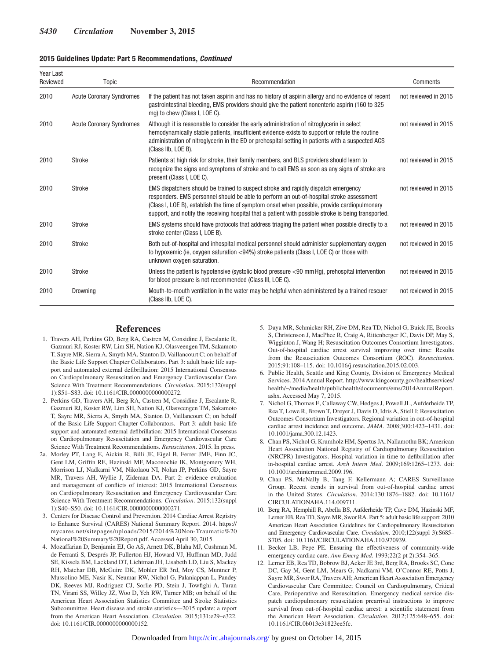#### **2015 Guidelines Update: Part 5 Recommendations,** *Continued*

| Year Last<br>Reviewed | Topic                           | Recommendation                                                                                                                                                                                                                                                                                                                                                                         | Comments             |
|-----------------------|---------------------------------|----------------------------------------------------------------------------------------------------------------------------------------------------------------------------------------------------------------------------------------------------------------------------------------------------------------------------------------------------------------------------------------|----------------------|
| 2010                  | <b>Acute Coronary Syndromes</b> | If the patient has not taken aspirin and has no history of aspirin allergy and no evidence of recent<br>gastrointestinal bleeding, EMS providers should give the patient nonenteric aspirin (160 to 325<br>mg) to chew (Class I, LOE C).                                                                                                                                               | not reviewed in 2015 |
| 2010                  | <b>Acute Coronary Syndromes</b> | Although it is reasonable to consider the early administration of nitroglycerin in select<br>hemodynamically stable patients, insufficient evidence exists to support or refute the routine<br>administration of nitroglycerin in the ED or prehospital setting in patients with a suspected ACS<br>(Class IIb, LOE B).                                                                | not reviewed in 2015 |
| 2010                  | <b>Stroke</b>                   | Patients at high risk for stroke, their family members, and BLS providers should learn to<br>recognize the signs and symptoms of stroke and to call EMS as soon as any signs of stroke are<br>present (Class I, LOE C).                                                                                                                                                                | not reviewed in 2015 |
| 2010                  | Stroke                          | EMS dispatchers should be trained to suspect stroke and rapidly dispatch emergency<br>responders. EMS personnel should be able to perform an out-of-hospital stroke assessment<br>(Class I, LOE B), establish the time of symptom onset when possible, provide cardiopulmonary<br>support, and notify the receiving hospital that a patient with possible stroke is being transported. | not reviewed in 2015 |
| 2010                  | <b>Stroke</b>                   | EMS systems should have protocols that address triaging the patient when possible directly to a<br>stroke center (Class I, LOE B).                                                                                                                                                                                                                                                     | not reviewed in 2015 |
| 2010                  | <b>Stroke</b>                   | Both out-of-hospital and inhospital medical personnel should administer supplementary oxygen<br>to hypoxemic (ie, oxygen saturation <94%) stroke patients (Class I, LOE C) or those with<br>unknown oxygen saturation.                                                                                                                                                                 | not reviewed in 2015 |
| 2010                  | <b>Stroke</b>                   | Unless the patient is hypotensive (systolic blood pressure <90 mm Hq), prehospital intervention<br>for blood pressure is not recommended (Class III, LOE C).                                                                                                                                                                                                                           | not reviewed in 2015 |
| 2010                  | Drowning                        | Mouth-to-mouth ventilation in the water may be helpful when administered by a trained rescuer<br>(Class IIb, LOE C).                                                                                                                                                                                                                                                                   | not reviewed in 2015 |

#### **References**

- 1. Travers AH, Perkins GD, Berg RA, Castren M, Considine J, Escalante R, Gazmuri RJ, Koster RW, Lim SH, Nation KJ, Olasveengen TM, Sakamoto T, Sayre MR, Sierra A, Smyth MA, Stanton D, Vaillancourt C; on behalf of the Basic Life Support Chapter Collaborators. Part 3: adult basic life support and automated external defibrillation: 2015 International Consensus on Cardiopulmonary Resuscitation and Emergency Cardiovascular Care Science With Treatment Recommendations. *Circulation*. 2015;132(suppl 1):S51–S83. doi: 10.1161/CIR.0000000000000272.
- 2. Perkins GD, Travers AH, Berg RA, Castren M, Considine J, Escalante R, Gazmuri RJ, Koster RW, Lim SH, Nation KJ, Olasveengen TM, Sakamoto T, Sayre MR, Sierra A, Smyth MA, Stanton D, Vaillancourt C; on behalf of the Basic Life Support Chapter Collaborators. Part 3: adult basic life support and automated external defibrillation: 2015 International Consensus on Cardiopulmonary Resuscitation and Emergency Cardiovascular Care Science With Treatment Recommendations. *Resuscitation*. 2015. In press.
- 2a. Morley PT, Lang E, Aickin R, Billi JE, Eigel B, Ferrer JME, Finn JC, Gent LM, Griffin RE, Hazinski MF, Maconochie IK, Montgomery WH, Morrison LJ, Nadkarni VM, Nikolaou NI, Nolan JP, Perkins GD, Sayre MR, Travers AH, Wyllie J, Zideman DA. Part 2: evidence evaluation and management of conflicts of interest: 2015 International Consensus on Cardiopulmonary Resuscitation and Emergency Cardiovascular Care Science With Treatment Recommendations. *Circulation*. 2015;132(suppl 1):S40–S50. doi: 10.1161/CIR.0000000000000271.
- 3. Centers for Disease Control and Prevention. 2014 Cardiac Arrest Registry to Enhance Survival (CARES) National Summary Report. 2014. [https://](http://mycares.net/sitepages/uploads/2015/2014%20Non-Traumatic%20National%20Summary%20Report.pdf) [mycares.net/sitepages/uploads/2015/2014%20Non-Traumatic%20](http://mycares.net/sitepages/uploads/2015/2014%20Non-Traumatic%20National%20Summary%20Report.pdf) [National%20Summary%20Report.pdf](http://mycares.net/sitepages/uploads/2015/2014%20Non-Traumatic%20National%20Summary%20Report.pdf). Accessed April 30, 2015.
- 4. Mozaffarian D, Benjamin EJ, Go AS, Arnett DK, Blaha MJ, Cushman M, de Ferranti S, Després JP, Fullerton HJ, Howard VJ, Huffman MD, Judd SE, Kissela BM, Lackland DT, Lichtman JH, Lisabeth LD, Liu S, Mackey RH, Matchar DB, McGuire DK, Mohler ER 3rd, Moy CS, Muntner P, Mussolino ME, Nasir K, Neumar RW, Nichol G, Palaniappan L, Pandey DK, Reeves MJ, Rodriguez CJ, Sorlie PD, Stein J, Towfighi A, Turan TN, Virani SS, Willey JZ, Woo D, Yeh RW, Turner MB; on behalf of the American Heart Association Statistics Committee and Stroke Statistics Subcommittee. Heart disease and stroke statistics—2015 update: a report from the American Heart Association. *Circulation*. 2015;131:e29–e322. doi: 10.1161/CIR.0000000000000152.
- 5. Daya MR, Schmicker RH, Zive DM, Rea TD, Nichol G, Buick JE, Brooks S, Christenson J, MacPhee R, Craig A, Rittenberger JC, Davis DP, May S, Wigginton J, Wang H; Resuscitation Outcomes Consortium Investigators. Out-of-hospital cardiac arrest survival improving over time: Results from the Resuscitation Outcomes Consortium (ROC). *Resuscitation*. 2015;91:108–115. doi: 10.1016/j.resuscitation.2015.02.003.
- 6. Public Health, Seattle and King County, Division of Emergency Medical Services. 2014 Annual Report. [http://www.kingcounty.gov/healthservices/](http://www.kingcounty.gov/healthservices/health/~/media/health/publichealth/documents/ems/2014AnnualReport.ashx) [health/~/media/health/publichealth/documents/ems/2014AnnualReport.](http://www.kingcounty.gov/healthservices/health/~/media/health/publichealth/documents/ems/2014AnnualReport.ashx) [ashx](http://www.kingcounty.gov/healthservices/health/~/media/health/publichealth/documents/ems/2014AnnualReport.ashx). Accessed May 7, 2015.
- 7. Nichol G, Thomas E, Callaway CW, Hedges J, Powell JL, Aufderheide TP, Rea T, Lowe R, Brown T, Dreyer J, Davis D, Idris A, Stiell I; Resuscitation Outcomes Consortium Investigators. Regional variation in out-of-hospital cardiac arrest incidence and outcome. *JAMA*. 2008;300:1423–1431. doi: 10.1001/jama.300.12.1423.
- 8. Chan PS, Nichol G, Krumholz HM, Spertus JA, Nallamothu BK; American Heart Association National Registry of Cardiopulmonary Resuscitation (NRCPR) Investigators. Hospital variation in time to defibrillation after in-hospital cardiac arrest. *Arch Intern Med*. 2009;169:1265–1273. doi: 10.1001/archinternmed.2009.196.
- 9. Chan PS, McNally B, Tang F, Kellermann A; CARES Surveillance Group. Recent trends in survival from out-of-hospital cardiac arrest in the United States. *Circulation*. 2014;130:1876–1882. doi: 10.1161/ CIRCULATIONAHA.114.009711.
- 10. Berg RA, Hemphill R, Abella BS, Aufderheide TP, Cave DM, Hazinski MF, Lerner EB, Rea TD, Sayre MR, Swor RA. Part 5: adult basic life support: 2010 American Heart Association Guidelines for Cardiopulmonary Resuscitation and Emergency Cardiovascular Care. *Circulation*. 2010;122(suppl 3):S685– S705. doi: 10.1161/CIRCULATIONAHA.110.970939.
- 11. Becker LB, Pepe PE. Ensuring the effectiveness of community-wide emergency cardiac care. *Ann Emerg Med*. 1993;22(2 pt 2):354–365.
- 12. Lerner EB, Rea TD, Bobrow BJ, Acker JE 3rd, Berg RA, Brooks SC, Cone DC, Gay M, Gent LM, Mears G, Nadkarni VM, O'Connor RE, Potts J, Sayre MR, Swor RA, Travers AH; American Heart Association Emergency Cardiovascular Care Committee; Council on Cardiopulmonary, Critical Care, Perioperative and Resuscitation. Emergency medical service dispatch cardiopulmonary resuscitation prearrival instructions to improve survival from out-of-hospital cardiac arrest: a scientific statement from the American Heart Association. *Circulation*. 2012;125:648–655. doi: 10.1161/CIR.0b013e31823ee5fc.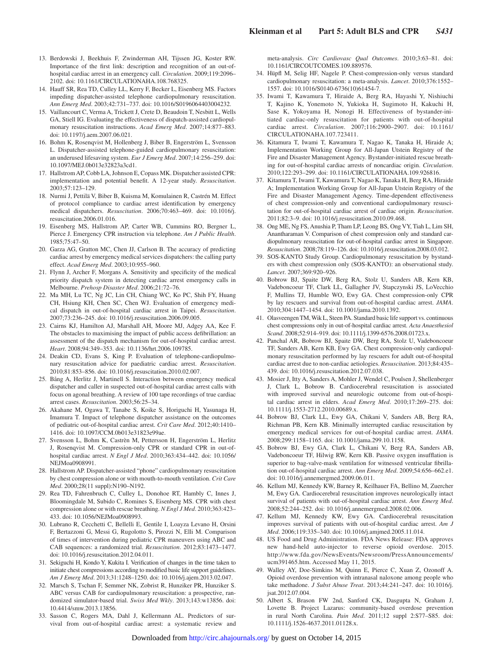- 13. Berdowski J, Beekhuis F, Zwinderman AH, Tijssen JG, Koster RW. Importance of the first link: description and recognition of an out-ofhospital cardiac arrest in an emergency call. *Circulation*. 2009;119:2096– 2102. doi: 10.1161/CIRCULATIONAHA.108.768325.
- 14. Hauff SR, Rea TD, Culley LL, Kerry F, Becker L, Eisenberg MS. Factors impeding dispatcher-assisted telephone cardiopulmonary resuscitation. *Ann Emerg Med*. 2003;42:731–737. doi: 10.1016/S0196064403004232.
- 15. Vaillancourt C, Verma A, Trickett J, Crete D, Beaudoin T, Nesbitt L, Wells GA, Stiell IG. Evaluating the effectiveness of dispatch-assisted cardiopulmonary resuscitation instructions. *Acad Emerg Med*. 2007;14:877–883. doi: 10.1197/j.aem.2007.06.021.
- 16. Bohm K, Rosenqvist M, Hollenberg J, Biber B, Engerström L, Svensson L. Dispatcher-assisted telephone-guided cardiopulmonary resuscitation: an underused lifesaving system. *Eur J Emerg Med*. 2007;14:256–259. doi: 10.1097/MEJ.0b013e32823a3cd1.
- 17. Hallstrom AP, Cobb LA, Johnson E, Copass MK. Dispatcher assisted CPR: implementation and potential benefit. A 12-year study. *Resuscitation*. 2003;57:123–129.
- 18. Nurmi J, Pettilä V, Biber B, Kuisma M, Komulainen R, Castrén M. Effect of protocol compliance to cardiac arrest identification by emergency medical dispatchers. *Resuscitation*. 2006;70:463–469. doi: 10.1016/j. resuscitation.2006.01.016.
- 19. Eisenberg MS, Hallstrom AP, Carter WB, Cummins RO, Bergner L, Pierce J. Emergency CPR instruction via telephone. *Am J Public Health*. 1985;75:47–50.
- 20. Garza AG, Gratton MC, Chen JJ, Carlson B. The accuracy of predicting cardiac arrest by emergency medical services dispatchers: the calling party effect. *Acad Emerg Med*. 2003;10:955–960.
- 21. Flynn J, Archer F, Morgans A. Sensitivity and specificity of the medical priority dispatch system in detecting cardiac arrest emergency calls in Melbourne. *Prehosp Disaster Med*. 2006;21:72–76.
- 22. Ma MH, Lu TC, Ng JC, Lin CH, Chiang WC, Ko PC, Shih FY, Huang CH, Hsiung KH, Chen SC, Chen WJ. Evaluation of emergency medical dispatch in out-of-hospital cardiac arrest in Taipei. *Resuscitation*. 2007;73:236–245. doi: 10.1016/j.resuscitation.2006.09.005.
- 23. Cairns KJ, Hamilton AJ, Marshall AH, Moore MJ, Adgey AA, Kee F. The obstacles to maximising the impact of public access defibrillation: an assessment of the dispatch mechanism for out-of-hospital cardiac arrest. *Heart*. 2008;94:349–353. doi: 10.1136/hrt.2006.109785.
- 24. Deakin CD, Evans S, King P. Evaluation of telephone-cardiopulmonary resuscitation advice for paediatric cardiac arrest. *Resuscitation*. 2010;81:853–856. doi: 10.1016/j.resuscitation.2010.02.007.
- 25. Bång A, Herlitz J, Martinell S. Interaction between emergency medical dispatcher and caller in suspected out-of-hospital cardiac arrest calls with focus on agonal breathing. A review of 100 tape recordings of true cardiac arrest cases. *Resuscitation*. 2003;56:25–34.
- 26. Akahane M, Ogawa T, Tanabe S, Koike S, Horiguchi H, Yasunaga H, Imamura T. Impact of telephone dispatcher assistance on the outcomes of pediatric out-of-hospital cardiac arrest. *Crit Care Med*. 2012;40:1410– 1416. doi: 10.1097/CCM.0b013e31823e99ae.
- 27. Svensson L, Bohm K, Castrèn M, Pettersson H, Engerström L, Herlitz J, Rosenqvist M. Compression-only CPR or standard CPR in out-ofhospital cardiac arrest. *N Engl J Med*. 2010;363:434–442. doi: 10.1056/ NEJMoa0908991.
- 28. Hallstrom AP. Dispatcher-assisted "phone" cardiopulmonary resuscitation by chest compression alone or with mouth-to-mouth ventilation. *Crit Care Med*. 2000;28(11 suppl):N190–N192.
- 29. Rea TD, Fahrenbruch C, Culley L, Donohoe RT, Hambly C, Innes J, Bloomingdale M, Subido C, Romines S, Eisenberg MS. CPR with chest compression alone or with rescue breathing. *N Engl J Med*. 2010;363:423– 433. doi: 10.1056/NEJMoa0908993.
- 30. Lubrano R, Cecchetti C, Bellelli E, Gentile I, Loayza Levano H, Orsini F, Bertazzoni G, Messi G, Rugolotto S, Pirozzi N, Elli M. Comparison of times of intervention during pediatric CPR maneuvers using ABC and CAB sequences: a randomized trial. *Resuscitation*. 2012;83:1473–1477. doi: 10.1016/j.resuscitation.2012.04.011.
- 31. Sekiguchi H, Kondo Y, Kukita I. Verification of changes in the time taken to initiate chest compressions according to modified basic life support guidelines. *Am J Emerg Med*. 2013;31:1248–1250. doi: 10.1016/j.ajem.2013.02.047.
- 32. Marsch S, Tschan F, Semmer NK, Zobrist R, Hunziker PR, Hunziker S. ABC versus CAB for cardiopulmonary resuscitation: a prospective, randomized simulator-based trial. *Swiss Med Wkly*. 2013;143:w13856. doi: 10.4414/smw.2013.13856.
- 33. Sasson C, Rogers MA, Dahl J, Kellermann AL. Predictors of survival from out-of-hospital cardiac arrest: a systematic review and

meta-analysis. *Circ Cardiovasc Qual Outcomes*. 2010;3:63–81. doi: 10.1161/CIRCOUTCOMES.109.889576.

- 34. Hüpfl M, Selig HF, Nagele P. Chest-compression-only versus standard cardiopulmonary resuscitation: a meta-analysis. *Lancet*. 2010;376:1552– 1557. doi: 10.1016/S0140-6736(10)61454-7.
- 35. Iwami T, Kawamura T, Hiraide A, Berg RA, Hayashi Y, Nishiuchi T, Kajino K, Yonemoto N, Yukioka H, Sugimoto H, Kakuchi H, Sase K, Yokoyama H, Nonogi H. Effectiveness of bystander-initiated cardiac-only resuscitation for patients with out-of-hospital cardiac arrest. *Circulation*. 2007;116:2900–2907. doi: 10.1161/ CIRCULATIONAHA.107.723411.
- 36. Kitamura T, Iwami T, Kawamura T, Nagao K, Tanaka H, Hiraide A; Implementation Working Group for All-Japan Utstein Registry of the Fire and Disaster Management Agency. Bystander-initiated rescue breathing for out-of-hospital cardiac arrests of noncardiac origin. *Circulation*. 2010;122:293–299. doi: 10.1161/CIRCULATIONAHA.109.926816.
- 37. Kitamura T, Iwami T, Kawamura T, Nagao K, Tanaka H, Berg RA, Hiraide A; Implementation Working Group for All-Japan Utstein Registry of the Fire and Disaster Management Agency. Time-dependent effectiveness of chest compression-only and conventional cardiopulmonary resuscitation for out-of-hospital cardiac arrest of cardiac origin. *Resuscitation*. 2011;82:3–9. doi: 10.1016/j.resuscitation.2010.09.468.
- 38. Ong ME, Ng FS, Anushia P, Tham LP, Leong BS, Ong VY, Tiah L, Lim SH, Anantharaman V. Comparison of chest compression only and standard cardiopulmonary resuscitation for out-of-hospital cardiac arrest in Singapore. *Resuscitation*. 2008;78:119–126. doi: 10.1016/j.resuscitation.2008.03.012.
- 39. SOS-KANTO Study Group. Cardiopulmonary resuscitation by bystanders with chest compression only (SOS-KANTO): an observational study. *Lancet*. 2007;369:920–926.
- 40. Bobrow BJ, Spaite DW, Berg RA, Stolz U, Sanders AB, Kern KB, Vadeboncoeur TF, Clark LL, Gallagher JV, Stapczynski JS, LoVecchio F, Mullins TJ, Humble WO, Ewy GA. Chest compression-only CPR by lay rescuers and survival from out-of-hospital cardiac arrest. *JAMA*. 2010;304:1447–1454. doi: 10.1001/jama.2010.1392.
- 41. Olasveengen TM, Wik L, Steen PA. Standard basic life support vs. continuous chest compressions only in out-of-hospital cardiac arrest. *Acta Anaesthesiol Scand*. 2008;52:914–919. doi: 10.1111/j.1399-6576.2008.01723.x.
- 42. Panchal AR, Bobrow BJ, Spaite DW, Berg RA, Stolz U, Vadeboncoeur TF, Sanders AB, Kern KB, Ewy GA. Chest compression-only cardiopulmonary resuscitation performed by lay rescuers for adult out-of-hospital cardiac arrest due to non-cardiac aetiologies. *Resuscitation*. 2013;84:435– 439. doi: 10.1016/j.resuscitation.2012.07.038.
- 43. Mosier J, Itty A, Sanders A, Mohler J, Wendel C, Poulsen J, Shellenberger J, Clark L, Bobrow B. Cardiocerebral resuscitation is associated with improved survival and neurologic outcome from out-of-hospital cardiac arrest in elders. *Acad Emerg Med*. 2010;17:269–275. doi: 10.1111/j.1553-2712.2010.00689.x.
- 44. Bobrow BJ, Clark LL, Ewy GA, Chikani V, Sanders AB, Berg RA, Richman PB, Kern KB. Minimally interrupted cardiac resuscitation by emergency medical services for out-of-hospital cardiac arrest. *JAMA*. 2008;299:1158–1165. doi: 10.1001/jama.299.10.1158.
- 45. Bobrow BJ, Ewy GA, Clark L, Chikani V, Berg RA, Sanders AB, Vadeboncoeur TF, Hilwig RW, Kern KB. Passive oxygen insufflation is superior to bag-valve-mask ventilation for witnessed ventricular fibrillation out-of-hospital cardiac arrest. *Ann Emerg Med*. 2009;54:656–662.e1. doi: 10.1016/j.annemergmed.2009.06.011.
- 46. Kellum MJ, Kennedy KW, Barney R, Keilhauer FA, Bellino M, Zuercher M, Ewy GA. Cardiocerebral resuscitation improves neurologically intact survival of patients with out-of-hospital cardiac arrest. *Ann Emerg Med*. 2008;52:244–252. doi: 10.1016/j.annemergmed.2008.02.006.
- 47. Kellum MJ, Kennedy KW, Ewy GA. Cardiocerebral resuscitation improves survival of patients with out-of-hospital cardiac arrest. *Am J Med*. 2006;119:335–340. doi: 10.1016/j.amjmed.2005.11.014.
- 48. US Food and Drug Administration. FDA News Release: FDA approves new hand-held auto-injector to reverse opioid overdose. 2015. [http://www.fda.gov/NewsEvents/Newsroom/PressAnnouncements/](http://www.fda.gov/NewsEvents/Newsroom/PressAnnouncements/ucm391465.htm) [ucm391465.htm](http://www.fda.gov/NewsEvents/Newsroom/PressAnnouncements/ucm391465.htm). Accessed May 11, 2015.
- 49. Walley AY, Doe-Simkins M, Quinn E, Pierce C, Xuan Z, Ozonoff A. Opioid overdose prevention with intranasal naloxone among people who take methadone. *J Subst Abuse Treat*. 2013;44:241–247. doi: 10.1016/j. jsat.2012.07.004.
- 50. Albert S, Brason FW 2nd, Sanford CK, Dasgupta N, Graham J, Lovette B. Project Lazarus: community-based overdose prevention in rural North Carolina. *Pain Med*. 2011;12 suppl 2:S77–S85. doi: 10.1111/j.1526-4637.2011.01128.x.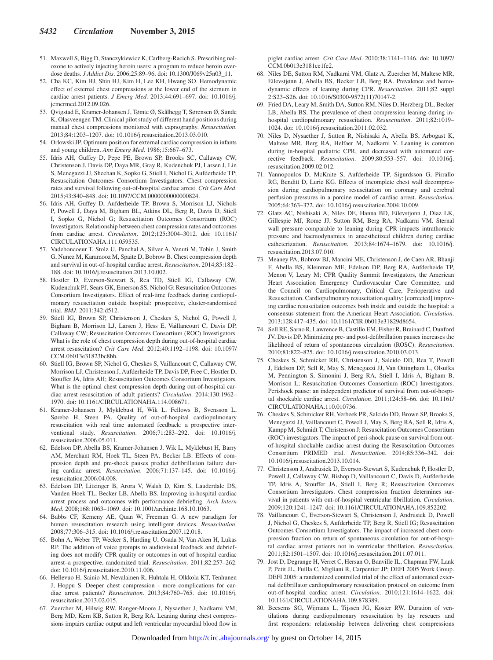- 51. Maxwell S, Bigg D, Stanczykiewicz K, Carlberg-Racich S. Prescribing naloxone to actively injecting heroin users: a program to reduce heroin overdose deaths. *J Addict Dis*. 2006;25:89–96. doi: 10.1300/J069v25n03\_11.
- 52. Cha KC, Kim HJ, Shin HJ, Kim H, Lee KH, Hwang SO. Hemodynamic effect of external chest compressions at the lower end of the sternum in cardiac arrest patients. *J Emerg Med*. 2013;44:691–697. doi: 10.1016/j. jemermed.2012.09.026.
- 53. Qvigstad E, Kramer-Johansen J, Tømte Ø, Skålhegg T, Sørensen Ø, Sunde K, Olasveengen TM. Clinical pilot study of different hand positions during manual chest compressions monitored with capnography. *Resuscitation*. 2013;84:1203–1207. doi: 10.1016/j.resuscitation.2013.03.010.
- 54. Orlowski JP. Optimum position for external cardiac compression in infants and young children. *Ann Emerg Med*. 1986;15:667–673.
- 55. Idris AH, Guffey D, Pepe PE, Brown SP, Brooks SC, Callaway CW, Christenson J, Davis DP, Daya MR, Gray R, Kudenchuk PJ, Larsen J, Lin S, Menegazzi JJ, Sheehan K, Sopko G, Stiell I, Nichol G, Aufderheide TP; Resuscitation Outcomes Consortium Investigators. Chest compression rates and survival following out-of-hospital cardiac arrest. *Crit Care Med*. 2015;43:840–848. doi: 10.1097/CCM.0000000000000824.
- 56. Idris AH, Guffey D, Aufderheide TP, Brown S, Morrison LJ, Nichols P, Powell J, Daya M, Bigham BL, Atkins DL, Berg R, Davis D, Stiell I, Sopko G, Nichol G; Resuscitation Outcomes Consortium (ROC) Investigators. Relationship between chest compression rates and outcomes from cardiac arrest. *Circulation*. 2012;125:3004–3012. doi: 10.1161/ CIRCULATIONAHA.111.059535.
- 57. Vadeboncoeur T, Stolz U, Panchal A, Silver A, Venuti M, Tobin J, Smith G, Nunez M, Karamooz M, Spaite D, Bobrow B. Chest compression depth and survival in out-of-hospital cardiac arrest. *Resuscitation*. 2014;85:182– 188. doi: 10.1016/j.resuscitation.2013.10.002.
- 58. Hostler D, Everson-Stewart S, Rea TD, Stiell IG, Callaway CW, Kudenchuk PJ, Sears GK, Emerson SS, Nichol G; Resuscitation Outcomes Consortium Investigators. Effect of real-time feedback during cardiopulmonary resuscitation outside hospital: prospective, cluster-randomised trial. *BMJ*. 2011;342:d512.
- 59. Stiell IG, Brown SP, Christenson J, Cheskes S, Nichol G, Powell J, Bigham B, Morrison LJ, Larsen J, Hess E, Vaillancourt C, Davis DP, Callaway CW; Resuscitation Outcomes Consortium (ROC) Investigators. What is the role of chest compression depth during out-of-hospital cardiac arrest resuscitation? *Crit Care Med*. 2012;40:1192–1198. doi: 10.1097/ CCM.0b013e31823bc8bb.
- 60. Stiell IG, Brown SP, Nichol G, Cheskes S, Vaillancourt C, Callaway CW, Morrison LJ, Christenson J, Aufderheide TP, Davis DP, Free C, Hostler D, Stouffer JA, Idris AH; Resuscitation Outcomes Consortium Investigators. What is the optimal chest compression depth during out-of-hospital cardiac arrest resuscitation of adult patients? *Circulation*. 2014;130:1962– 1970. doi: 10.1161/CIRCULATIONAHA.114.008671.
- 61. Kramer-Johansen J, Myklebust H, Wik L, Fellows B, Svensson L, Sørebø H, Steen PA. Quality of out-of-hospital cardiopulmonary resuscitation with real time automated feedback: a prospective interventional study. *Resuscitation*. 2006;71:283–292. doi: 10.1016/j. resuscitation.2006.05.011.
- 62. Edelson DP, Abella BS, Kramer-Johansen J, Wik L, Myklebust H, Barry AM, Merchant RM, Hoek TL, Steen PA, Becker LB. Effects of compression depth and pre-shock pauses predict defibrillation failure during cardiac arrest. *Resuscitation*. 2006;71:137–145. doi: 10.1016/j. resuscitation.2006.04.008.
- 63. Edelson DP, Litzinger B, Arora V, Walsh D, Kim S, Lauderdale DS, Vanden Hoek TL, Becker LB, Abella BS. Improving in-hospital cardiac arrest process and outcomes with performance debriefing. *Arch Intern Med*. 2008;168:1063–1069. doi: 10.1001/archinte.168.10.1063.
- 64. Babbs CF, Kemeny AE, Quan W, Freeman G. A new paradigm for human resuscitation research using intelligent devices. *Resuscitation*. 2008;77:306–315. doi: 10.1016/j.resuscitation.2007.12.018.
- 65. Bohn A, Weber TP, Wecker S, Harding U, Osada N, Van Aken H, Lukas RP. The addition of voice prompts to audiovisual feedback and debriefing does not modify CPR quality or outcomes in out of hospital cardiac arrest–a prospective, randomized trial. *Resuscitation*. 2011;82:257–262. doi: 10.1016/j.resuscitation.2010.11.006.
- 66. Hellevuo H, Sainio M, Nevalainen R, Huhtala H, Olkkola KT, Tenhunen J, Hoppu S. Deeper chest compression - more complications for cardiac arrest patients? *Resuscitation*. 2013;84:760–765. doi: 10.1016/j. resuscitation.2013.02.015.
- 67. Zuercher M, Hilwig RW, Ranger-Moore J, Nysaether J, Nadkarni VM, Berg MD, Kern KB, Sutton R, Berg RA. Leaning during chest compressions impairs cardiac output and left ventricular myocardial blood flow in

piglet cardiac arrest. *Crit Care Med*. 2010;38:1141–1146. doi: 10.1097/ CCM.0b013e3181ce1fe2.

- 68. Niles DE, Sutton RM, Nadkarni VM, Glatz A, Zuercher M, Maltese MR, Eilevstjønn J, Abella BS, Becker LB, Berg RA. Prevalence and hemodynamic effects of leaning during CPR. *Resuscitation*. 2011;82 suppl 2:S23–S26. doi: 10.1016/S0300-9572(11)70147-2.
- 69. Fried DA, Leary M, Smith DA, Sutton RM, Niles D, Herzberg DL, Becker LB, Abella BS. The prevalence of chest compression leaning during inhospital cardiopulmonary resuscitation. *Resuscitation*. 2011;82:1019– 1024. doi: 10.1016/j.resuscitation.2011.02.032.
- 70. Niles D, Nysaether J, Sutton R, Nishisaki A, Abella BS, Arbogast K, Maltese MR, Berg RA, Helfaer M, Nadkarni V. Leaning is common during in-hospital pediatric CPR, and decreased with automated corrective feedback. *Resuscitation*. 2009;80:553–557. doi: 10.1016/j. resuscitation.2009.02.012.
- 71. Yannopoulos D, McKnite S, Aufderheide TP, Sigurdsson G, Pirrallo RG, Benditt D, Lurie KG. Effects of incomplete chest wall decompression during cardiopulmonary resuscitation on coronary and cerebral perfusion pressures in a porcine model of cardiac arrest. *Resuscitation*. 2005;64:363–372. doi: 10.1016/j.resuscitation.2004.10.009.
- 72. Glatz AC, Nishisaki A, Niles DE, Hanna BD, Eilevstjonn J, Diaz LK, Gillespie MJ, Rome JJ, Sutton RM, Berg RA, Nadkarni VM. Sternal wall pressure comparable to leaning during CPR impacts intrathoracic pressure and haemodynamics in anaesthetized children during cardiac catheterization. *Resuscitation*. 2013;84:1674–1679. doi: 10.1016/j. resuscitation.2013.07.010.
- 73. Meaney PA, Bobrow BJ, Mancini ME, Christenson J, de Caen AR, Bhanji F, Abella BS, Kleinman ME, Edelson DP, Berg RA, Aufderheide TP, Menon V, Leary M; CPR Quality Summit Investigators, the American Heart Association Emergency Cardiovascular Care Committee, and the Council on Cardiopulmonary, Critical Care, Perioperative and Resuscitation. Cardiopulmonary resuscitation quality: [corrected] improving cardiac resuscitation outcomes both inside and outside the hospital: a consensus statement from the American Heart Association. *Circulation*. 2013;128:417–435. doi: 10.1161/CIR.0b013e31829d8654.
- 74. Sell RE, Sarno R, Lawrence B, Castillo EM, Fisher R, Brainard C, Dunford JV, Davis DP. Minimizing pre- and post-defibrillation pauses increases the likelihood of return of spontaneous circulation (ROSC). *Resuscitation*. 2010;81:822–825. doi: 10.1016/j.resuscitation.2010.03.013.
- 75. Cheskes S, Schmicker RH, Christenson J, Salcido DD, Rea T, Powell J, Edelson DP, Sell R, May S, Menegazzi JJ, Van Ottingham L, Olsufka M, Pennington S, Simonini J, Berg RA, Stiell I, Idris A, Bigham B, Morrison L; Resuscitation Outcomes Consortium (ROC) Investigators. Perishock pause: an independent predictor of survival from out-of-hospital shockable cardiac arrest. *Circulation*. 2011;124:58–66. doi: 10.1161/ CIRCULATIONAHA.110.010736.
- 76. Cheskes S, Schmicker RH, Verbeek PR, Salcido DD, Brown SP, Brooks S, Menegazzi JJ, Vaillancourt C, Powell J, May S, Berg RA, Sell R, Idris A, Kampp M, Schmidt T, Christenson J; Resuscitation Outcomes Consortium (ROC) investigators. The impact of peri-shock pause on survival from outof-hospital shockable cardiac arrest during the Resuscitation Outcomes Consortium PRIMED trial. *Resuscitation*. 2014;85:336–342. doi: 10.1016/j.resuscitation.2013.10.014.
- 77. Christenson J, Andrusiek D, Everson-Stewart S, Kudenchuk P, Hostler D, Powell J, Callaway CW, Bishop D, Vaillancourt C, Davis D, Aufderheide TP, Idris A, Stouffer JA, Stiell I, Berg R; Resuscitation Outcomes Consortium Investigators. Chest compression fraction determines survival in patients with out-of-hospital ventricular fibrillation. *Circulation*. 2009;120:1241–1247. doi: 10.1161/CIRCULATIONAHA.109.852202.
- 78. Vaillancourt C, Everson-Stewart S, Christenson J, Andrusiek D, Powell J, Nichol G, Cheskes S, Aufderheide TP, Berg R, Stiell IG; Resuscitation Outcomes Consortium Investigators. The impact of increased chest compression fraction on return of spontaneous circulation for out-of-hospital cardiac arrest patients not in ventricular fibrillation. *Resuscitation*. 2011;82:1501–1507. doi: 10.1016/j.resuscitation.2011.07.011.
- 79. Jost D, Degrange H, Verret C, Hersan O, Banville IL, Chapman FW, Lank P, Petit JL, Fuilla C, Migliani R, Carpentier JP; DEFI 2005 Work Group. DEFI 2005: a randomized controlled trial of the effect of automated external defibrillator cardiopulmonary resuscitation protocol on outcome from out-of-hospital cardiac arrest. *Circulation*. 2010;121:1614–1622. doi: 10.1161/CIRCULATIONAHA.109.878389.
- 80. Beesems SG, Wijmans L, Tijssen JG, Koster RW. Duration of ventilations during cardiopulmonary resuscitation by lay rescuers and first responders: relationship between delivering chest compressions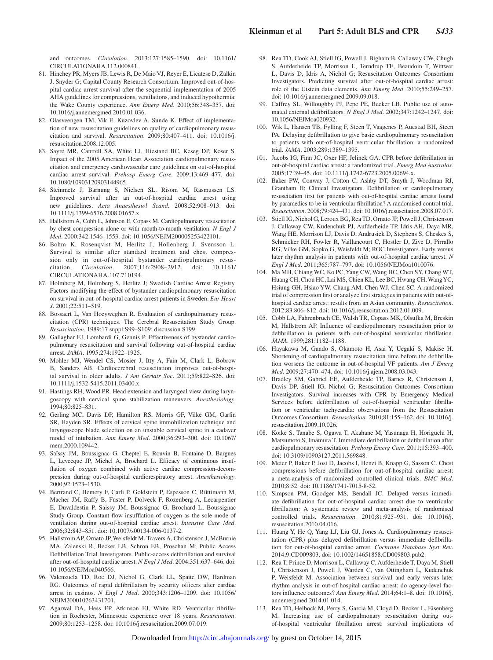and outcomes. *Circulation*. 2013;127:1585–1590. doi: 10.1161/ CIRCULATIONAHA.112.000841.

- 81. Hinchey PR, Myers JB, Lewis R, De Maio VJ, Reyer E, Licatese D, Zalkin J, Snyder G; Capital County Research Consortium. Improved out-of-hospital cardiac arrest survival after the sequential implementation of 2005 AHA guidelines for compressions, ventilations, and induced hypothermia: the Wake County experience. *Ann Emerg Med*. 2010;56:348–357. doi: 10.1016/j.annemergmed.2010.01.036.
- 82. Olasveengen TM, Vik E, Kuzovlev A, Sunde K. Effect of implementation of new resuscitation guidelines on quality of cardiopulmonary resuscitation and survival. *Resuscitation*. 2009;80:407–411. doi: 10.1016/j. resuscitation.2008.12.005.
- 83. Sayre MR, Cantrell SA, White LJ, Hiestand BC, Keseg DP, Koser S. Impact of the 2005 American Heart Association cardiopulmonary resuscitation and emergency cardiovascular care guidelines on out-of-hospital cardiac arrest survival. *Prehosp Emerg Care*. 2009;13:469–477. doi: 10.1080/10903120903144965.
- 84. Steinmetz J, Barnung S, Nielsen SL, Risom M, Rasmussen LS. Improved survival after an out-of-hospital cardiac arrest using new guidelines. *Acta Anaesthesiol Scand*. 2008;52:908–913. doi: 10.1111/j.1399-6576.2008.01657.x.
- 85. Hallstrom A, Cobb L, Johnson E, Copass M. Cardiopulmonary resuscitation by chest compression alone or with mouth-to-mouth ventilation. *N Engl J Med*. 2000;342:1546–1553. doi: 10.1056/NEJM200005253422101.
- 86. Bohm K, Rosenqvist M, Herlitz J, Hollenberg J, Svensson L. Survival is similar after standard treatment and chest compression only in out-of-hospital bystander cardiopulmonary resuscitation. *Circulation*. 2007;116:2908–2912. doi: 10.1161/ CIRCULATIONAHA.107.710194.
- 87. Holmberg M, Holmberg S, Herlitz J; Swedish Cardiac Arrest Registry. Factors modifying the effect of bystander cardiopulmonary resuscitation on survival in out-of-hospital cardiac arrest patients in Sweden. *Eur Heart J*. 2001;22:511–519.
- 88. Bossaert L, Van Hoeyweghen R. Evaluation of cardiopulmonary resuscitation (CPR) techniques. The Cerebral Resuscitation Study Group. *Resuscitation*. 1989;17 suppl:S99–S109; discussion S199.
- 89. Gallagher EJ, Lombardi G, Gennis P. Effectiveness of bystander cardiopulmonary resuscitation and survival following out-of-hospital cardiac arrest. *JAMA*. 1995;274:1922–1925.
- 90. Mohler MJ, Wendel CS, Mosier J, Itty A, Fain M, Clark L, Bobrow B, Sanders AB. Cardiocerebral resuscitation improves out-of-hospital survival in older adults. *J Am Geriatr Soc*. 2011;59:822–826. doi: 10.1111/j.1532-5415.2011.03400.x.
- 91. Hastings RH, Wood PR. Head extension and laryngeal view during laryngoscopy with cervical spine stabilization maneuvers. *Anesthesiology*. 1994;80:825–831.
- 92. Gerling MC, Davis DP, Hamilton RS, Morris GF, Vilke GM, Garfin SR, Hayden SR. Effects of cervical spine immobilization technique and laryngoscope blade selection on an unstable cervical spine in a cadaver model of intubation. *Ann Emerg Med*. 2000;36:293–300. doi: 10.1067/ mem.2000.109442.
- 93. Saïssy JM, Boussignac G, Cheptel E, Rouvin B, Fontaine D, Bargues L, Levecque JP, Michel A, Brochard L. Efficacy of continuous insufflation of oxygen combined with active cardiac compression-decompression during out-of-hospital cardiorespiratory arrest. *Anesthesiology*. 2000;92:1523–1530.
- 94. Bertrand C, Hemery F, Carli P, Goldstein P, Espesson C, Rüttimann M, Macher JM, Raffy B, Fuster P, Dolveck F, Rozenberg A, Lecarpentier E, Duvaldestin P, Saissy JM, Boussignac G, Brochard L; Boussignac Study Group. Constant flow insufflation of oxygen as the sole mode of ventilation during out-of-hospital cardiac arrest. *Intensive Care Med*. 2006;32:843–851. doi: 10.1007/s00134-006-0137-2.
- 95. Hallstrom AP, Ornato JP, Weisfeldt M, Travers A, Christenson J, McBurnie MA, Zalenski R, Becker LB, Schron EB, Proschan M; Public Access Defibrillation Trial Investigators. Public-access defibrillation and survival after out-of-hospital cardiac arrest. *N Engl J Med*. 2004;351:637–646. doi: 10.1056/NEJMoa040566.
- 96. Valenzuela TD, Roe DJ, Nichol G, Clark LL, Spaite DW, Hardman RG. Outcomes of rapid defibrillation by security officers after cardiac arrest in casinos. *N Engl J Med*. 2000;343:1206–1209. doi: 10.1056/ NEJM200010263431701.
- 97. Agarwal DA, Hess EP, Atkinson EJ, White RD. Ventricular fibrillation in Rochester, Minnesota: experience over 18 years. *Resuscitation*. 2009;80:1253–1258. doi: 10.1016/j.resuscitation.2009.07.019.
- 98. Rea TD, Cook AJ, Stiell IG, Powell J, Bigham B, Callaway CW, Chugh S, Aufderheide TP, Morrison L, Terndrup TE, Beaudoin T, Wittwer L, Davis D, Idris A, Nichol G; Resuscitation Outcomes Consortium Investigators. Predicting survival after out-of-hospital cardiac arrest: role of the Utstein data elements. *Ann Emerg Med*. 2010;55:249–257. doi: 10.1016/j.annemergmed.2009.09.018.
- 99. Caffrey SL, Willoughby PJ, Pepe PE, Becker LB. Public use of automated external defibrillators. *N Engl J Med*. 2002;347:1242–1247. doi: 10.1056/NEJMoa020932.
- 100. Wik L, Hansen TB, Fylling F, Steen T, Vaagenes P, Auestad BH, Steen PA. Delaying defibrillation to give basic cardiopulmonary resuscitation to patients with out-of-hospital ventricular fibrillation: a randomized trial. *JAMA*. 2003;289:1389–1395.
- 101. Jacobs IG, Finn JC, Oxer HF, Jelinek GA. CPR before defibrillation in out-of-hospital cardiac arrest: a randomized trial. *Emerg Med Australas*. 2005;17:39–45. doi: 10.1111/j.1742-6723.2005.00694.x.
- 102. Baker PW, Conway J, Cotton C, Ashby DT, Smyth J, Woodman RJ, Grantham H; Clinical Investigators. Defibrillation or cardiopulmonary resuscitation first for patients with out-of-hospital cardiac arrests found by paramedics to be in ventricular fibrillation? A randomised control trial. *Resuscitation*. 2008;79:424–431. doi: 10.1016/j.resuscitation.2008.07.017.
- 103. Stiell IG, Nichol G, Leroux BG, Rea TD, Ornato JP, Powell J, Christenson J, Callaway CW, Kudenchuk PJ, Aufderheide TP, Idris AH, Daya MR, Wang HE, Morrison LJ, Davis D, Andrusiek D, Stephens S, Cheskes S, Schmicker RH, Fowler R, Vaillancourt C, Hostler D, Zive D, Pirrallo RG, Vilke GM, Sopko G, Weisfeldt M; ROC Investigators. Early versus later rhythm analysis in patients with out-of-hospital cardiac arrest. *N Engl J Med*. 2011;365:787–797. doi: 10.1056/NEJMoa1010076.
- 104. Ma MH, Chiang WC, Ko PC, Yang CW, Wang HC, Chen SY, Chang WT, Huang CH, Chou HC, Lai MS, Chien KL, Lee BC, Hwang CH, Wang YC, Hsiung GH, Hsiao YW, Chang AM, Chen WJ, Chen SC. A randomized trial of compression first or analyze first strategies in patients with out-ofhospital cardiac arrest: results from an Asian community. *Resuscitation*. 2012;83:806–812. doi: 10.1016/j.resuscitation.2012.01.009.
- 105. Cobb LA, Fahrenbruch CE, Walsh TR, Copass MK, Olsufka M, Breskin M, Hallstrom AP. Influence of cardiopulmonary resuscitation prior to defibrillation in patients with out-of-hospital ventricular fibrillation. *JAMA*. 1999;281:1182–1188.
- 106. Hayakawa M, Gando S, Okamoto H, Asai Y, Uegaki S, Makise H. Shortening of cardiopulmonary resuscitation time before the defibrillation worsens the outcome in out-of-hospital VF patients. *Am J Emerg Med*. 2009;27:470–474. doi: 10.1016/j.ajem.2008.03.043.
- 107. Bradley SM, Gabriel EE, Aufderheide TP, Barnes R, Christenson J, Davis DP, Stiell IG, Nichol G; Resuscitation Outcomes Consortium Investigators. Survival increases with CPR by Emergency Medical Services before defibrillation of out-of-hospital ventricular fibrillation or ventricular tachycardia: observations from the Resuscitation Outcomes Consortium. *Resuscitation*. 2010;81:155–162. doi: 10.1016/j. resuscitation.2009.10.026.
- 108. Koike S, Tanabe S, Ogawa T, Akahane M, Yasunaga H, Horiguchi H, Matsumoto S, Imamura T. Immediate defibrillation or defibrillation after cardiopulmonary resuscitation. *Prehosp Emerg Care*. 2011;15:393–400. doi: 10.3109/10903127.2011.569848.
- 109. Meier P, Baker P, Jost D, Jacobs I, Henzi B, Knapp G, Sasson C. Chest compressions before defibrillation for out-of-hospital cardiac arrest: a meta-analysis of randomized controlled clinical trials. *BMC Med*. 2010;8:52. doi: 10.1186/1741-7015-8-52.
- 110. Simpson PM, Goodger MS, Bendall JC. Delayed versus immediate defibrillation for out-of-hospital cardiac arrest due to ventricular fibrillation: A systematic review and meta-analysis of randomised controlled trials. *Resuscitation*. 2010;81:925–931. doi: 10.1016/j. resuscitation.2010.04.016.
- 111. Huang Y, He Q, Yang LJ, Liu GJ, Jones A. Cardiopulmonary resuscitation (CPR) plus delayed defibrillation versus immediate defibrillation for out-of-hospital cardiac arrest. *Cochrane Database Syst Rev*. 2014;9:CD009803. doi: 10.1002/14651858.CD009803.pub2.
- 112. Rea T, Prince D, Morrison L, Callaway C, Aufderheide T, Daya M, Stiell I, Christenson J, Powell J, Warden C, van Ottingham L, Kudenchuk P, Weisfeldt M. Association between survival and early versus later rhythm analysis in out-of-hospital cardiac arrest: do agency-level factors influence outcomes? *Ann Emerg Med*. 2014;64:1–8. doi: 10.1016/j. annemergmed.2014.01.014.
- 113. Rea TD, Helbock M, Perry S, Garcia M, Cloyd D, Becker L, Eisenberg M. Increasing use of cardiopulmonary resuscitation during outof-hospital ventricular fibrillation arrest: survival implications of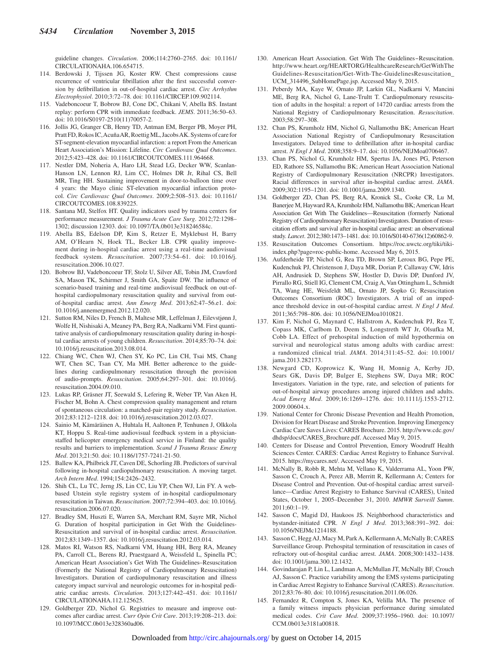guideline changes. *Circulation*. 2006;114:2760–2765. doi: 10.1161/ CIRCULATIONAHA.106.654715.

- 114. Berdowski J, Tijssen JG, Koster RW. Chest compressions cause recurrence of ventricular fibrillation after the first successful conversion by defibrillation in out-of-hospital cardiac arrest. *Circ Arrhythm Electrophysiol*. 2010;3:72–78. doi: 10.1161/CIRCEP.109.902114.
- 115. Vadeboncoeur T, Bobrow BJ, Cone DC, Chikani V, Abella BS. Instant replay: perform CPR with immediate feedback. *JEMS*. 2011;36:50–63. doi: 10.1016/S0197-2510(11)70057-2.
- 116. Jollis JG, Granger CB, Henry TD, Antman EM, Berger PB, Moyer PH, Pratt FD, Rokos IC, Acuña AR, Roettig ML, Jacobs AK. Systems of care for ST-segment-elevation myocardial infarction: a report From the American Heart Association's Mission: Lifeline. *Circ Cardiovasc Qual Outcomes*. 2012;5:423–428. doi: 10.1161/CIRCOUTCOMES.111.964668.
- 117. Nestler DM, Noheria A, Haro LH, Stead LG, Decker WW, Scanlan-Hanson LN, Lennon RJ, Lim CC, Holmes DR Jr, Rihal CS, Bell MR, Ting HH. Sustaining improvement in door-to-balloon time over 4 years: the Mayo clinic ST-elevation myocardial infarction protocol. *Circ Cardiovasc Qual Outcomes*. 2009;2:508–513. doi: 10.1161/ CIRCOUTCOMES.108.839225.
- 118. Santana MJ, Stelfox HT. Quality indicators used by trauma centers for performance measurement. *J Trauma Acute Care Surg*. 2012;72:1298– 1302; discussion 12303. doi: 10.1097/TA.0b013e318246584c.
- 119. Abella BS, Edelson DP, Kim S, Retzer E, Myklebust H, Barry AM, O'Hearn N, Hoek TL, Becker LB. CPR quality improvement during in-hospital cardiac arrest using a real-time audiovisual feedback system. *Resuscitation*. 2007;73:54–61. doi: 10.1016/j. resuscitation.2006.10.027.
- 120. Bobrow BJ, Vadeboncoeur TF, Stolz U, Silver AE, Tobin JM, Crawford SA, Mason TK, Schirmer J, Smith GA, Spaite DW. The influence of scenario-based training and real-time audiovisual feedback on out-ofhospital cardiopulmonary resuscitation quality and survival from outof-hospital cardiac arrest. *Ann Emerg Med*. 2013;62:47–56.e1. doi: 10.1016/j.annemergmed.2012.12.020.
- 121. Sutton RM, Niles D, French B, Maltese MR, Leffelman J, Eilevstjønn J, Wolfe H, Nishisaki A, Meaney PA, Berg RA, Nadkarni VM. First quantitative analysis of cardiopulmonary resuscitation quality during in-hospital cardiac arrests of young children. *Resuscitation*. 2014;85:70–74. doi: 10.1016/j.resuscitation.2013.08.014.
- 122. Chiang WC, Chen WJ, Chen SY, Ko PC, Lin CH, Tsai MS, Chang WT, Chen SC, Tsan CY, Ma MH. Better adherence to the guidelines during cardiopulmonary resuscitation through the provision of audio-prompts. *Resuscitation*. 2005;64:297–301. doi: 10.1016/j. resuscitation.2004.09.010.
- 123. Lukas RP, Gräsner JT, Seewald S, Lefering R, Weber TP, Van Aken H, Fischer M, Bohn A. Chest compression quality management and return of spontaneous circulation: a matched-pair registry study. *Resuscitation*. 2012;83:1212–1218. doi: 10.1016/j.resuscitation.2012.03.027.
- 124. Sainio M, Kämäräinen A, Huhtala H, Aaltonen P, Tenhunen J, Olkkola KT, Hoppu S. Real-time audiovisual feedback system in a physicianstaffed helicopter emergency medical service in Finland: the quality results and barriers to implementation. *Scand J Trauma Resusc Emerg Med*. 2013;21:50. doi: 10.1186/1757-7241-21-50.
- 125. Ballew KA, Philbrick JT, Caven DE, Schorling JB. Predictors of survival following in-hospital cardiopulmonary resuscitation. A moving target. *Arch Intern Med*. 1994;154:2426–2432.
- 126. Shih CL, Lu TC, Jerng JS, Lin CC, Liu YP, Chen WJ, Lin FY. A webbased Utstein style registry system of in-hospital cardiopulmonary resuscitation in Taiwan. *Resuscitation*. 2007;72:394–403. doi: 10.1016/j. resuscitation.2006.07.020.
- 127. Bradley SM, Huszti E, Warren SA, Merchant RM, Sayre MR, Nichol G. Duration of hospital participation in Get With the Guidelines-Resuscitation and survival of in-hospital cardiac arrest. *Resuscitation*. 2012;83:1349–1357. doi: 10.1016/j.resuscitation.2012.03.014.
- 128. Matos RI, Watson RS, Nadkarni VM, Huang HH, Berg RA, Meaney PA, Carroll CL, Berens RJ, Praestgaard A, Weissfeld L, Spinella PC; American Heart Association's Get With The Guidelines–Resuscitation (Formerly the National Registry of Cardiopulmonary Resuscitation) Investigators. Duration of cardiopulmonary resuscitation and illness category impact survival and neurologic outcomes for in-hospital pediatric cardiac arrests. *Circulation*. 2013;127:442–451. doi: 10.1161/ CIRCULATIONAHA.112.125625.
- 129. Goldberger ZD, Nichol G. Registries to measure and improve outcomes after cardiac arrest. *Curr Opin Crit Care*. 2013;19:208–213. doi: 10.1097/MCC.0b013e328360ad06.
- 130. American Heart Association. Get With The Guidelines-Resuscitation. [http://www.heart.org/HEARTORG/HealthcareResearch/GetWithThe](http://www.heart.org/HEARTORG/HealthcareResearch/GetWithTheGuidelines-Resuscitation/Get-With-The-GuidelinesResuscitation_UCM_314496_SubHomePage.jsp) [Guidelines-Resuscitation/Get-With-The-GuidelinesResuscitation\\_](http://www.heart.org/HEARTORG/HealthcareResearch/GetWithTheGuidelines-Resuscitation/Get-With-The-GuidelinesResuscitation_UCM_314496_SubHomePage.jsp) [UCM\\_314496\\_SubHomePage.jsp.](http://www.heart.org/HEARTORG/HealthcareResearch/GetWithTheGuidelines-Resuscitation/Get-With-The-GuidelinesResuscitation_UCM_314496_SubHomePage.jsp) Accessed May 9, 2015.
- 131. Peberdy MA, Kaye W, Ornato JP, Larkin GL, Nadkarni V, Mancini ME, Berg RA, Nichol G, Lane-Trultt T. Cardiopulmonary resuscitation of adults in the hospital: a report of 14720 cardiac arrests from the National Registry of Cardiopulmonary Resuscitation. *Resuscitation*. 2003;58:297–308.
- 132. Chan PS, Krumholz HM, Nichol G, Nallamothu BK; American Heart Association National Registry of Cardiopulmonary Resuscitation Investigators. Delayed time to defibrillation after in-hospital cardiac arrest. *N Engl J Med*. 2008;358:9–17. doi: 10.1056/NEJMoa0706467.
- 133. Chan PS, Nichol G, Krumholz HM, Spertus JA, Jones PG, Peterson ED, Rathore SS, Nallamothu BK; American Heart Association National Registry of Cardiopulmonary Resuscitation (NRCPR) Investigators. Racial differences in survival after in-hospital cardiac arrest. *JAMA*. 2009;302:1195–1201. doi: 10.1001/jama.2009.1340.
- 134. Goldberger ZD, Chan PS, Berg RA, Kronick SL, Cooke CR, Lu M, Banerjee M, Hayward RA, Krumholz HM, Nallamothu BK; American Heart Association Get With The Guidelines—Resuscitation (formerly National Registry of Cardiopulmonary Resuscitation) Investigators. Duration of resuscitation efforts and survival after in-hospital cardiac arrest: an observational study. *Lancet*. 2012;380:1473–1481. doi: 10.1016/S0140-6736(12)60862-9.
- 135. Resuscitation Outcomes Consortium. [https://roc.uwctc.org/tiki/tiki](http://roc.uwctc.org/tiki/tiki-index.php?page=roc-public-home)[index.php?page=roc-public-home.](http://roc.uwctc.org/tiki/tiki-index.php?page=roc-public-home) Accessed May 6, 2015.
- 136. Aufderheide TP, Nichol G, Rea TD, Brown SP, Leroux BG, Pepe PE, Kudenchuk PJ, Christenson J, Daya MR, Dorian P, Callaway CW, Idris AH, Andrusiek D, Stephens SW, Hostler D, Davis DP, Dunford JV, Pirrallo RG, Stiell IG, Clement CM, Craig A, Van Ottingham L, Schmidt TA, Wang HE, Weisfeldt ML, Ornato JP, Sopko G; Resuscitation Outcomes Consortium (ROC) Investigators. A trial of an impedance threshold device in out-of-hospital cardiac arrest. *N Engl J Med*. 2011;365:798–806. doi: 10.1056/NEJMoa1010821.
- 137. Kim F, Nichol G, Maynard C, Hallstrom A, Kudenchuk PJ, Rea T, Copass MK, Carlbom D, Deem S, Longstreth WT Jr, Olsufka M, Cobb LA. Effect of prehospital induction of mild hypothermia on survival and neurological status among adults with cardiac arrest: a randomized clinical trial. *JAMA*. 2014;311:45–52. doi: 10.1001/ jama.2013.282173.
- 138. Newgard CD, Koprowicz K, Wang H, Monnig A, Kerby JD, Sears GK, Davis DP, Bulger E, Stephens SW, Daya MR; ROC Investigators. Variation in the type, rate, and selection of patients for out-of-hospital airway procedures among injured children and adults. *Acad Emerg Med*. 2009;16:1269–1276. doi: 10.1111/j.1553-2712. 2009.00604.x.
- 139. National Center for Chronic Disease Prevention and Health Promotion, Division for Heart Disease and Stroke Prevention. Improving Emergency Cardiac Care Saves Lives: CARES Brochure. 2015. [http://www.cdc.gov/](http://www.cdc.gov/dhdsp/docs/CARES_Brochure.pdf) [dhdsp/docs/CARES\\_Brochure.pdf.](http://www.cdc.gov/dhdsp/docs/CARES_Brochure.pdf) Accessed May 9, 2015.
- 140. Centers for Disease and Control Prevention, Emory Woodruff Health Sciences Center. CARES: Cardiac Arrest Registry to Enhance Survival. 2015. [https://mycares.net/](http://mycares.net/). Accessed May 19, 2015.
- 141. McNally B, Robb R, Mehta M, Vellano K, Valderrama AL, Yoon PW, Sasson C, Crouch A, Perez AB, Merritt R, Kellermann A; Centers for Disease Control and Prevention. Out-of-hospital cardiac arrest surveillance—Cardiac Arrest Registry to Enhance Survival (CARES), United States, October 1, 2005–December 31, 2010. *MMWR Surveill Summ*. 2011;60:1–19.
- 142. Sasson C, Magid DJ, Haukoos JS. Neighborhood characteristics and bystander-initiated CPR. *N Engl J Med*. 2013;368:391–392. doi: 10.1056/NEJMc1214188.
- 143. Sasson C, Hegg AJ, Macy M, Park A, Kellermann A, McNally B; CARES Surveillance Group. Prehospital termination of resuscitation in cases of refractory out-of-hospital cardiac arrest. *JAMA*. 2008;300:1432–1438. doi: 10.1001/jama.300.12.1432.
- 144. Govindarajan P, Lin L, Landman A, McMullan JT, McNally BF, Crouch AJ, Sasson C. Practice variability among the EMS systems participating in Cardiac Arrest Registry to Enhance Survival (CARES). *Resuscitation*. 2012;83:76–80. doi: 10.1016/j.resuscitation.2011.06.026.
- 145. Fernandez R, Compton S, Jones KA, Velilla MA. The presence of a family witness impacts physician performance during simulated medical codes. *Crit Care Med*. 2009;37:1956–1960. doi: 10.1097/ CCM.0b013e3181a00818.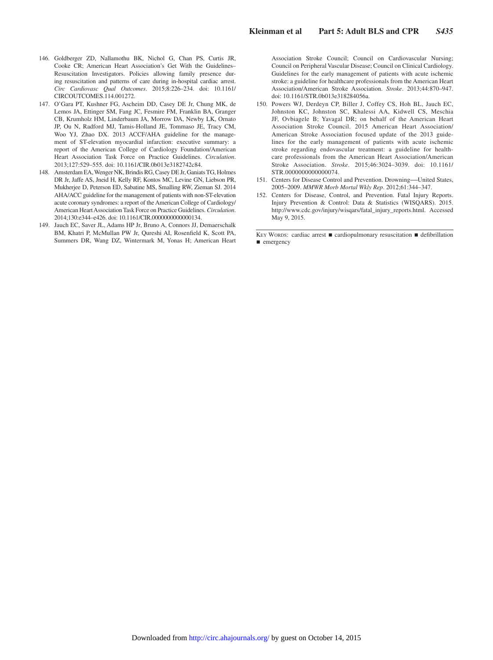- 146. Goldberger ZD, Nallamothu BK, Nichol G, Chan PS, Curtis JR, Cooke CR; American Heart Association's Get With the Guidelines– Resuscitation Investigators. Policies allowing family presence during resuscitation and patterns of care during in-hospital cardiac arrest. *Circ Cardiovasc Qual Outcomes*. 2015;8:226–234. doi: 10.1161/ CIRCOUTCOMES.114.001272.
- 147. O'Gara PT, Kushner FG, Ascheim DD, Casey DE Jr, Chung MK, de Lemos JA, Ettinger SM, Fang JC, Fesmire FM, Franklin BA, Granger CB, Krumholz HM, Linderbaum JA, Morrow DA, Newby LK, Ornato JP, Ou N, Radford MJ, Tamis-Holland JE, Tommaso JE, Tracy CM, Woo YJ, Zhao DX. 2013 ACCF/AHA guideline for the management of ST-elevation myocardial infarction: executive summary: a report of the American College of Cardiology Foundation/American Heart Association Task Force on Practice Guidelines. *Circulation*. 2013;127:529–555. doi: 10.1161/CIR.0b013e3182742c84.
- 148. Amsterdam EA, Wenger NK, Brindis RG, Casey DE Jr, Ganiats TG, Holmes DR Jr, Jaffe AS, Jneid H, Kelly RF, Kontos MC, Levine GN, Liebson PR, Mukherjee D, Peterson ED, Sabatine MS, Smalling RW, Zieman SJ. 2014 AHA/ACC guideline for the management of patients with non-ST-elevation acute coronary syndromes: a report of the American College of Cardiology/ American Heart Association Task Force on Practice Guidelines. *Circulation*. 2014;130:e344–e426. doi: 10.1161/CIR.0000000000000134.
- 149. Jauch EC, Saver JL, Adams HP Jr, Bruno A, Connors JJ, Demaerschalk BM, Khatri P, McMullan PW Jr, Qureshi AI, Rosenfield K, Scott PA, Summers DR, Wang DZ, Wintermark M, Yonas H; American Heart

Association Stroke Council; Council on Cardiovascular Nursing; Council on Peripheral Vascular Disease; Council on Clinical Cardiology. Guidelines for the early management of patients with acute ischemic stroke: a guideline for healthcare professionals from the American Heart Association/American Stroke Association. *Stroke*. 2013;44:870–947. doi: 10.1161/STR.0b013e318284056a.

- 150. Powers WJ, Derdeyn CP, Biller J, Coffey CS, Hoh BL, Jauch EC, Johnston KC, Johnston SC, Khalessi AA, Kidwell CS, Meschia JF, Ovbiagele B; Yavagal DR; on behalf of the American Heart Association Stroke Council. 2015 American Heart Association/ American Stroke Association focused update of the 2013 guidelines for the early management of patients with acute ischemic stroke regarding endovascular treatment: a guideline for healthcare professionals from the American Heart Association/American Stroke Association. *Stroke*. 2015;46:3024–3039. doi: 10.1161/ STR.0000000000000074.
- 151. Centers for Disease Control and Prevention. Drowning―United States, 2005–2009. *MMWR Morb Mortal Wkly Rep*. 2012;61:344–347.
- 152. Centers for Disease, Control, and Prevention. Fatal Injury Reports. Injury Prevention & Control: Data & Statistics (WISQARS). 2015. [http://www.cdc.gov/injury/wisqars/fatal\\_injury\\_reports.html.](http://www.cdc.gov/injury/wisqars/fatal_injury_reports.html) Accessed May 9, 2015.

KEY WORDS: cardiac arrest ■ cardiopulmonary resuscitation ■ defibrillation ■ emergency